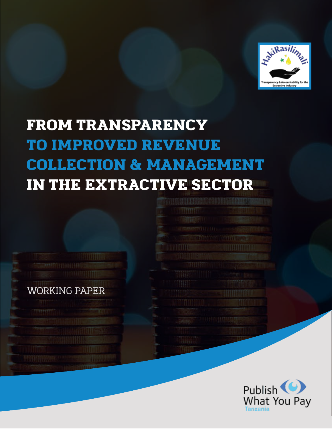

# FROM TRANSPARENCY TO IMPROVED REVENUE COLLECTION & MANAGEMENT IN THE EXTRACTIVE SECTOR



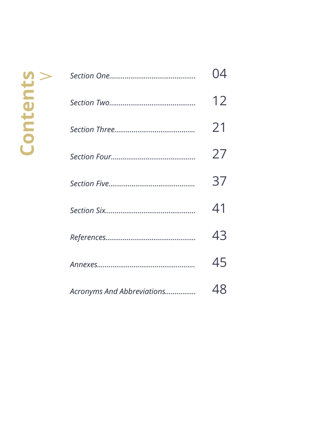|                            | 12 |
|----------------------------|----|
|                            | 21 |
|                            | 27 |
|                            | 37 |
|                            | 41 |
|                            | 43 |
|                            | 45 |
| Acronyms And Abbreviations | 48 |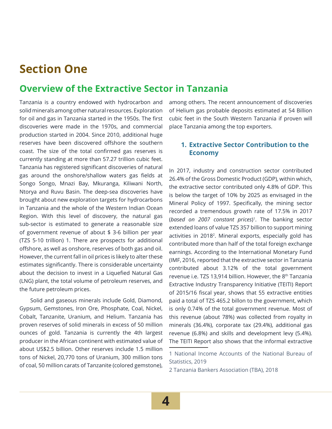## **Section One**

### **Overview of the Extractive Sector in Tanzania**

Tanzania is a country endowed with hydrocarbon and solid minerals among other natural resources. Exploration for oil and gas in Tanzania started in the 1950s. The first discoveries were made in the 1970s, and commercial production started in 2004. Since 2010, additional huge reserves have been discovered offshore the southern coast. The size of the total confirmed gas reserves is currently standing at more than 57.27 trillion cubic feet. Tanzania has registered significant discoveries of natural gas around the onshore/shallow waters gas fields at Songo Songo, Mnazi Bay, Mkuranga, Kiliwani North, Ntorya and Ruvu Basin. The deep-sea discoveries have brought about new exploration targets for hydrocarbons in Tanzania and the whole of the Western Indian Ocean Region. With this level of discovery, the natural gas sub-sector is estimated to generate a reasonable size of government revenue of about \$ 3-6 billion per year (TZS 5-10 trillion) 1. There are prospects for additional offshore, as well as onshore, reserves of both gas and oil. However, the current fall in oil prices is likely to alter these estimates significantly. There is considerable uncertainty about the decision to invest in a Liquefied Natural Gas (LNG) plant, the total volume of petroleum reserves, and the future petroleum prices.

Solid and gaseous minerals include Gold, Diamond, Gypsum, Gemstones, Iron Ore, Phosphate, Coal, Nickel, Cobalt, Tanzanite, Uranium, and Helium. Tanzania has proven reserves of solid minerals in excess of 50 million ounces of gold. Tanzania is currently the 4th largest producer in the African continent with estimated value of about US\$2.5 billion. Other reserves include 1.5 million tons of Nickel, 20,770 tons of Uranium, 300 million tons of coal, 50 million carats of Tanzanite (colored gemstone), among others. The recent announcement of discoveries of Helium gas probable deposits estimated at 54 Billion cubic feet in the South Western Tanzania if proven will place Tanzania among the top exporters.

#### **1. Extractive Sector Contribution to the Economy**

In 2017, industry and construction sector contributed 26.4% of the Gross Domestic Product (GDP), within which, the extractive sector contributed only 4.8% of GDP. This is below the target of 10% by 2025 as envisaged in the Mineral Policy of 1997. Specifically, the mining sector recorded a tremendous growth rate of 17.5% in 2017 (*based on 2007 constant prices*) 1. The banking sector extended loans of value TZS 357 billion to support mining activities in 20182. Mineral exports, especially gold has contributed more than half of the total foreign exchange earnings. According to the International Monetary Fund (IMF, 2016, reported that the extractive sector in Tanzania contributed about 3.12% of the total government revenue i.e. TZS 13,914 billion. However, the 8<sup>th</sup> Tanzania Extractive Industry Transparency Initiative (TEITI) Report of 2015/16 fiscal year, shows that 55 extractive entities paid a total of TZS 465.2 billon to the government, which is only 0.74% of the total government revenue. Most of this revenue (about 78%) was collected from royalty in minerals (36.4%), corporate tax (29.4%), additional gas revenue (6.8%) and skills and development levy (5.4%). The TEITI Report also shows that the informal extractive

2 Tanzania Bankers Association (TBA), 2018

<sup>1</sup> National Income Accounts of the National Bureau of Statistics, 2019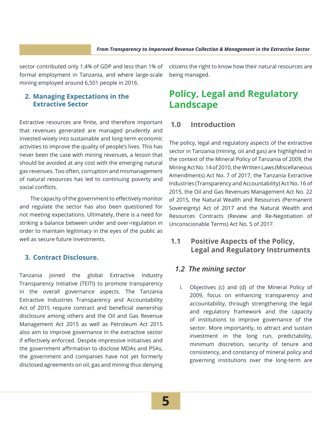sector contributed only 1.4% of GDP and less than 1% of formal employment in Tanzania, and where large-scale mining employed around 6,501 people in 2016.

#### **2. Managing Expectations in the Extractive Sector**

Extractive resources are finite, and therefore important that revenues generated are managed prudently and invested wisely into sustainable and long-term economic activities to improve the quality of people's lives. This has never been the case with mining revenues, a lesson that should be avoided at any cost with the emerging natural gas revenues. Too often, corruption and mismanagement of natural resources has led to continuing poverty and social conflicts.

The capacity of the government to effectively monitor and regulate the sector has also been questioned for not meeting expectations. Ultimately, there is a need for striking a balance between under and over-regulation in order to maintain legitimacy in the eyes of the public as well as secure future investments.

#### **3. Contract Disclosure.**

Tanzania joined the global Extractive Industry Transparency Initiative (TEITI) to promote transparency in the overall governance aspects. The Tanzania Extractive Industries Transparency and Accountability Act of 2015 require contract and beneficial ownership disclosure among others and the Oil and Gas Revenue Management Act 2015 as well as Petroleum Act 2015 also aim to improve governance in the extractive sector if effectively enforced. Despite impressive initiatives and the government affirmation to disclose MDAs and PSAs, the government and companies have not yet formerly disclosed agreements on oil, gas and mining thus denying citizens the right to know how their natural resources are being managed.

### **Policy, Legal and Regulatory Landscape**

#### **1.0 Introduction**

The policy, legal and regulatory aspects of the extractive sector in Tanzania (mining, oil and gas) are highlighted in the context of the Mineral Policy of Tanzania of 2009, the Mining Act No. 14 of 2010, the Written Laws (Miscellaneous Amendments) Act No. 7 of 2017, the Tanzania Extractive Industries (Transparency and Accountability) Act No. 16 of 2015, the Oil and Gas Revenues Management Act No. 22 of 2015, the Natural Wealth and Resources (Permanent Sovereignty) Act of 2017 and the Natural Wealth and Resources Contracts (Review and Re-Negotiation of Unconscionable Terms) Act No. 5 of 2017.

#### **1.1 Positive Aspects of the Policy, Legal and Regulatory Instruments**

#### *1.2 The mining sector*

i. Objectives (c) and (d) of the Mineral Policy of 2009, focus on enhancing transparency and accountability, through strengthening the legal and regulatory framework and the capacity of institutions to improve governance of the sector. More importantly, to attract and sustain investment in the long run, predictability, minimum discretion, security of tenure and consistency, and constancy of mineral policy and governing institutions over the long-term are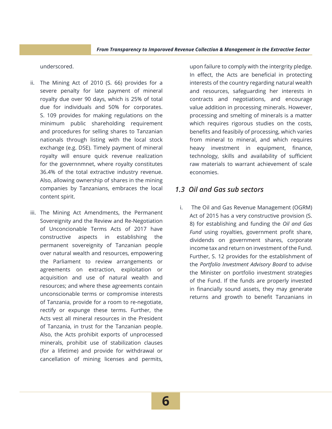underscored.

- ii. The Mining Act of 2010 (S. 66) provides for a severe penalty for late payment of mineral royalty due over 90 days, which is 25% of total due for individuals and 50% for corporates. S. 109 provides for making regulations on the minimum public shareholding requirement and procedures for selling shares to Tanzanian nationals through listing with the local stock exchange (e.g. DSE). Timely payment of mineral royalty will ensure quick revenue realization for the governnmnet, where royalty constitutes 36.4% of the total extractive industry revenue. Also, allowing ownership of shares in the mining companies by Tanzanians, embraces the local content spirit.
- iii. The Mining Act Amendments, the Permanent Sovereignity and the Review and Re-Negotiation of Unconcionable Terms Acts of 2017 have constructive aspects in establishing the permanent sovereignity of Tanzanian people over natural wealth and resources, empowering the Parliament to review arrangements or agreements on extraction, exploitation or acquisition and use of natural wealth and resources; and where these agreements contain unconscionable terms or compromise interests of Tanzania, provide for a room to re-negotiate, rectify or expunge these terms. Further, the Acts vest all mineral resources in the President of Tanzania, in trust for the Tanzanian people. Also, the Acts prohibit exports of unprocessed minerals, prohibit use of stabilization clauses (for a lifetime) and provide for withdrawal or cancellation of mining licenses and permits,

upon failure to comply with the intergrity pledge. In effect, the Acts are beneficial in protecting interests of the country regarding natural wealth and resources, safeguarding her interests in contracts and negotiations, and encourage value addition in processing minerals. However, processing and smelting of minerals is a matter which requires rigorous studies on the costs, benefits and feasibily of processing, which varies from mineral to mineral, and which requires heavy investment in equipment, finance, technology, skills and availability of sufficient raw materials to warrant achievement of scale economies.

#### *1.3 Oil and Gas sub sectors*

i. The Oil and Gas Revenue Management (OGRM) Act of 2015 has a very constructive provision (S. 8) for establishing and funding the *Oil and Gas Fund* using royalties, government profit share, dividends on government shares, corporate income tax and return on investment of the Fund. Further, S. 12 provides for the establishment of the *Portfolio Investment Advisory Board* to advise the Minister on portfolio investment strategies of the Fund. If the funds are properly invested in financially sound assets, they may generate returns and growth to benefit Tanzanians in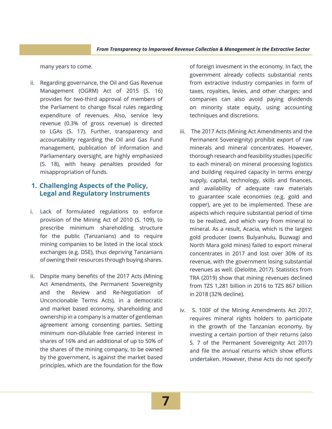many years to come.

ii. Regarding governance, the Oil and Gas Revenue Management (OGRM) Act of 2015 (S. 16) provides for two-third approval of members of the Parliament to change fiscal rules regarding expenditure of revenues. Also, service levy revenue (0.3% of gross revenue) is directed to LGAs (S. 17). Further, transparency and accountability regarding the Oil and Gas Fund management, publication of information and Parliamentary oversight, are highly emphasized (S. 18), with heavy penalties provided for misappropriation of funds.

#### **1. Challenging Aspects of the Policy, Legal and Regulatory Instruments**

- i. Lack of formulated regulations to enforce provision of the Mining Act of 2010 (S. 109), to prescribe minimum shareholding structure for the public (Tanzanians) and to require mining companies to be listed in the local stock exchanges (e.g. DSE), thus depriving Tanzanians of owning their resources through buying shares.
- ii. Despite many benefits of the 2017 Acts (Mining Act Amendments, the Permanent Sovereignity and the Review and Re-Negotiation of Unconcionable Terms Acts), in a democratic and market based economy, shareholding and ownership in a company is a matter of gentleman agreement among consenting parties. Setting minimum non-dilutable free carried interest in shares of 16% and an additional of up to 50% of the shares of the mining company, to be owned by the government, is against the market based principles, which are the foundation for the flow

of foreign invesment in the economy. In fact, the government already collects substantial rents from extractive industry companies in form of taxes, royalties, levies, and other charges; and companies can also avoid paying dividends on minority state equity, using accounting techniques and discretions.

- iii. The 2017 Acts (Mining Act Amendments and the Permanent Sovereignity) prohibit export of raw minerals and mineral concentrates. However, thorough research and feasibility studies (specific to each mineral) on mineral processing logistics and building required capacity in terms energy supply, capital, technology, skills and finances, and availability of adequate raw materials to guarantee scale economies (e.g. gold and copper), are yet to be implemented. These are aspects which require substantial period of time to be realized, and which vary from mineral to mineral. As a result, Acacia, which is the largest gold producer (owns Bulyanhulu, Buzwagi and North Mara gold mines) failed to export mineral concentrates in 2017 and lost over 30% of its revenue, with the government losing substantial revenues as well. (Deloitte, 2017). Statistics from TRA (2019) show that mining revenues declined from TZS 1,281 billion in 2016 to TZS 867 billion in 2018 (32% decline).
- iv. S. 100F of the Mining Amendments Act 2017, requires mineral rights holders to participate in the growth of the Tanzanian economy, by investing a certain portion of their returns (also S. 7 of the Permanent Sovereignity Act 2017) and file the annual returns which show efforts undertaken. However, these Acts do not specify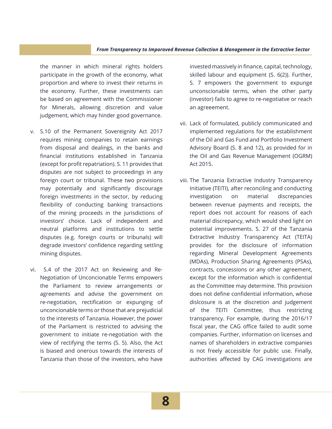#### *From Transparency to Imporoved Revenue Collection & Management in the Extractive Sector*

the manner in which mineral rights holders participate in the growth of the economy, what proportion and where to invest their returns in the economy. Further, these investments can be based on agreement with the Commissioner for Minerals, allowing discretion and value judgement, which may hinder good governance.

- v. S.10 of the Permanent Sovereignity Act 2017 requires mining companies to retain earnings from disposal and dealings, in the banks and financial institutions established in Tanzania (except for profit repatriation). S. 11 provides that disputes are not subject to proceedings in any foreign court or tribunal. These two provisions may potentially and significantly discourage foreign investments in the sector, by reducing flexibility of conducting banking transactions of the mining proceeds in the jurisdictions of investors' choice. Lack of independent and neutral platforms and institutions to settle disputes (e.g. foreign courts or tribunals) will degrade investors' confidence regarding settling mining disputes.
- vi. S.4 of the 2017 Act on Reviewing and Re-Negotiation of Unconcionable Terms empowers the Parliament to review arrangements or agreements and advise the government on re-negotiation, rectification or expunging of unconcionable terms or those that are prejudicial to the interests of Tanzania. However, the power of the Parliament is restricted to advising the government to initiate re-negotiation with the view of rectifying the terms (S. 5). Also, the Act is biased and onerous towards the interests of Tanzania than those of the investors, who have

invested massively in finance, capital, technology, skilled labour and equipment (S. 6(2)). Further, S. 7 empowers the government to expunge unconscionable terms, when the other party (investor) fails to agree to re-negotiatve or reach an agreeement.

- vii. Lack of formulated, publicly communicated and implemented regulations for the establishment of the Oil and Gas Fund and Portfolio Investment Advisory Board (S. 8 and 12), as provided for in the Oil and Gas Revenue Management (OGRM) Act 2015.
- viii. The Tanzania Extractive Industry Transparency Initiative (TEITI), after reconciling and conducting investigation on material discrepancies between revenue payments and receipts, the report does not account for reasons of each material discrepancy, which would shed light on potential improvements. S. 27 of the Tanzania Extractive Industry Transparency Act (TEITA) provides for the disclosure of information regarding Mineral Development Agreements (MDAs), Production Sharing Agreements (PSAs), contracts, concessions or any other agreement, except for the information which is confidential as the Committee may determine. This provision does not define confidential information, whose dislcosure is at the discretion and judgement of the TEITI Committee, thus restricting transparency. For example, during the 2016/17 fiscal year, the CAG office failed to audit some companies. Further, information on licenses and names of shareholders in extractive companies is not freely accessible for public use. Finally, authorities affected by CAG investigations are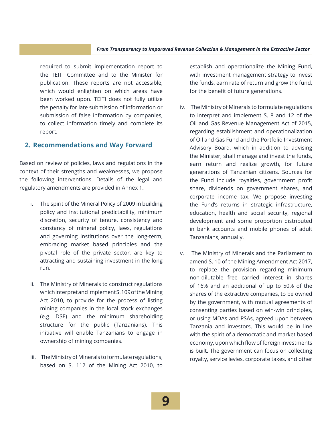required to submit implementation report to the TEITI Committee and to the Minister for publication. These reports are not accessible, which would enlighten on which areas have been worked upon. TEITI does not fully utilize the penalty for late submission of information or submission of false information by companies, to collect information timely and complete its report.

#### **2. Recommendations and Way Forward**

Based on review of policies, laws and regulations in the context of their strengths and weaknesses, we propose the following interventions. Details of the legal and regulatory amendments are provided in Annex 1.

- i. The spirit of the Mineral Policy of 2009 in building policy and institutional predictability, minimum discretion, security of tenure, consistency and constancy of mineral policy, laws, regulations and governing institutions over the long-term, embracing market based principles and the pivotal role of the private sector, are key to attracting and sustaining investment in the long run.
- ii. The Ministry of Minerals to construct regulations which interpret and implement S. 109 of the Mining Act 2010, to provide for the process of listing mining companies in the local stock exchanges (e.g. DSE) and the minimum shareholding structure for the public (Tanzanians). This initiative will enable Tanzanians to engage in ownership of mining companies.
- iii. The Ministry of Minerals to formulate regulations, based on S. 112 of the Mining Act 2010, to

establish and operationalize the Mining Fund, with investment management strategy to invest the funds, earn rate of return and grow the fund, for the benefit of future generations.

- iv. The Ministry of Minerals to formulate regulations to interpret and implement S. 8 and 12 of the Oil and Gas Revenue Management Act of 2015, regarding establishment and operationalization of Oil and Gas Fund and the Portfolio Investment Advisory Board, which in addition to advising the Minister, shall manage and invest the funds, earn return and realize growth, for future generations of Tanzanian citizens. Sources for the Fund include royalties, government profit share, dividends on government shares, and corporate income tax. We propose investing the Fund's returns in strategic infrastructure, education, health and social security, regional development and some proportion distributed in bank accounts and mobile phones of adult Tanzanians, annually.
- v. The Ministry of Minerals and the Parliament to amend S. 10 of the Mining Amendment Act 2017, to replace the provision regarding minimum non-dilutable free carried interest in shares of 16% and an additional of up to 50% of the shares of the extractive companies, to be owned by the government, with mutual agreements of consenting parties based on win-win principles, or using MDAs and PSAs, agreed upon between Tanzania and investors. This would be in line with the spirit of a democratic and market based economy, upon which flow of foreign investments is built. The government can focus on collecting royalty, service levies, corporate taxes, and other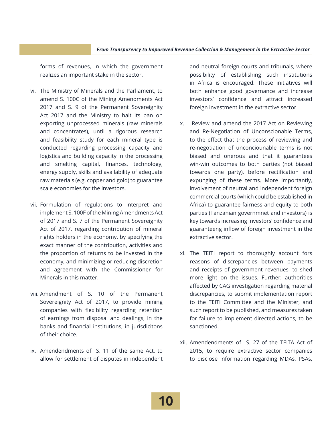#### *From Transparency to Imporoved Revenue Collection & Management in the Extractive Sector*

forms of revenues, in which the government realizes an important stake in the sector.

- vi. The Ministry of Minerals and the Parliament, to amend S. 100C of the Mining Amendments Act 2017 and S. 9 of the Permanent Sovereignity Act 2017 and the Ministry to halt its ban on exporting unprocessed minerals (raw minerals and concentrates), until a rigorous research and feasibility study for each mineral type is conducted regarding processing capacity and logistics and building capacity in the processing and smelting capital, finances, technology, energy supply, skills and availability of adequate raw materials (e.g. copper and gold) to guarantee scale economies for the investors.
- vii. Formulation of regulations to interpret and implement S. 100F of the Mining Amendments Act of 2017 and S. 7 of the Permanent Sovereignity Act of 2017, regarding contribution of mineral rights holders in the economy, by specifying the exact manner of the contribution, activities and the proportion of returns to be invested in the economy, and minimizing or reducing discretion and agreement with the Commissioner for Minerals in this matter.
- viii. Amendment of S. 10 of the Permanent Sovereignity Act of 2017, to provide mining companies with flexibility regarding retention of earnings from disposal and dealings, in the banks and financial institutions, in jurisdicitons of their choice.
- ix. Amendendments of S. 11 of the same Act, to allow for settlement of disputes in independent

and neutral foreign courts and tribunals, where possibility of establishing such institutions in Africa is encouraged. These initiatives will both enhance good governance and increase investors' confidence and attract increased foreign investment in the extractive sector.

- x. Review and amend the 2017 Act on Reviewing and Re-Negotiation of Unconscionable Terms, to the effect that the process of reviewing and re-negotiation of unconciounable terms is not biased and onerous and that it guarantees win-win outcomes to both parties (not biased towards one party), before rectification and expunging of these terms. More importantly, involvement of neutral and independent foreign commercial courts (which could be established in Africa) to guarantee fairness and equity to both parties (Tanzanian governmnet and investors) is key towards increasing investors' confidence and guaranteeng inflow of foreign investment in the extractive sector.
- xi. The TEITI report to thoroughly account fors reasons of discrepancies between payments and receipts of government revenues, to shed more light on the issues. Further, authorities affected by CAG investigation regarding material discrepancies, to submit implementation report to the TEITI Committee and the Minister, and such report to be published, and measures taken for failure to implement directed actions, to be sanctioned.
- xii. Amendendments of S. 27 of the TEITA Act of 2015, to require extractive sector companies to disclose information regarding MDAs, PSAs,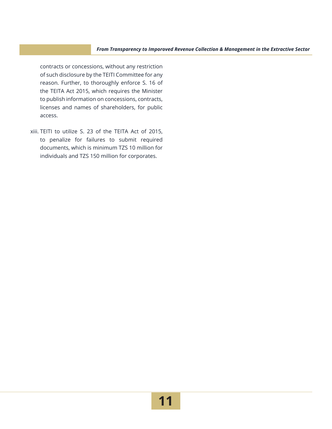contracts or concessions, without any restriction of such disclosure by the TEITI Committee for any reason. Further, to thoroughly enforce S. 16 of the TEITA Act 2015, which requires the Minister to publish information on concessions, contracts, licenses and names of shareholders, for public access.

xiii. TEITI to utilize S. 23 of the TEITA Act of 2015, to penalize for failures to submit required documents, which is minimum TZS 10 million for individuals and TZS 150 million for corporates.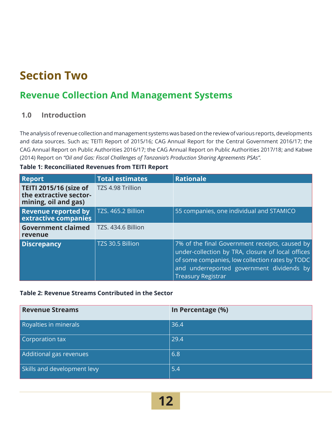## **Section Two**

### **Revenue Collection And Management Systems**

#### **1.0 Introduction**

The analysis of revenue collection and management systems was based on the review of various reports, developments and data sources. Such as; TEITI Report of 2015/16; CAG Annual Report for the Central Government 2016/17; the CAG Annual Report on Public Authorities 2016/17; the CAG Annual Report on Public Authorities 2017/18; and Kabwe (2014) Report on *"Oil and Gas: Fiscal Challenges of Tanzania's Production Sharing Agreements PSAs".*

| <b>Report</b>                                                                   | <b>Total estimates</b> | <b>Rationale</b>                                                                                                                                                                                                                 |
|---------------------------------------------------------------------------------|------------------------|----------------------------------------------------------------------------------------------------------------------------------------------------------------------------------------------------------------------------------|
| <b>TEITI 2015/16 (size of</b><br>the extractive sector-<br>mining, oil and gas) | TZS 4.98 Trillion      |                                                                                                                                                                                                                                  |
| <b>Revenue reported by</b><br>extractive companies                              | TZS. 465.2 Billion     | 55 companies, one individual and STAMICO                                                                                                                                                                                         |
| <b>Government claimed</b><br>revenue                                            | TZS. 434.6 Billion     |                                                                                                                                                                                                                                  |
| <b>Discrepancy</b>                                                              | TZS 30.5 Billion       | 7% of the final Government receipts, caused by<br>under-collection by TRA, closure of local offices<br>of some companies, low collection rates by TODC<br>and underreported government dividends by<br><b>Treasury Registrar</b> |

#### **Table 1: Reconciliated Revenues from TEITI Report**

#### **Table 2: Revenue Streams Contributed in the Sector**

| <b>Revenue Streams</b>      | In Percentage (%) |
|-----------------------------|-------------------|
| Royalties in minerals       | 36.4              |
| Corporation tax             | 29.4              |
| Additional gas revenues     | 6.8               |
| Skills and development levy | 5.4               |

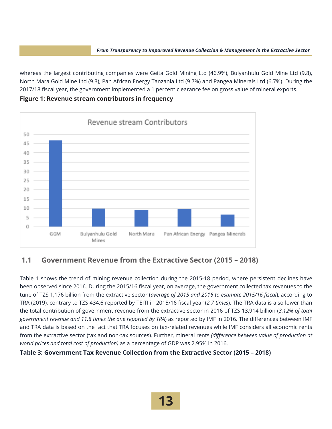whereas the largest contributing companies were Geita Gold Mining Ltd (46.9%), Bulyanhulu Gold Mine Ltd (9.8), North Mara Gold Mine Ltd (9.3), Pan African Energy Tanzania Ltd (9.7%) and Pangea Minerals Ltd (6.7%). During the 2017/18 fiscal year, the government implemented a 1 percent clearance fee on gross value of mineral exports.

**Figure 1: Revenue stream contributors in frequency** 



#### **1.1 Government Revenue from the Extractive Sector (2015 – 2018)**

Table 1 shows the trend of mining revenue collection during the 2015-18 period, where persistent declines have been observed since 2016. During the 2015/16 fiscal year, on average, the government collected tax revenues to the tune of TZS 1,176 billion from the extractive sector (*average of 2015 and 2016 to estimate 2015/16 fiscal*), according to TRA (2019), contrary to TZS 434.6 reported by TEITI in 2015/16 fiscal year (*2.7 times*). The TRA data is also lower than the total contribution of government revenue from the extractive sector in 2016 of TZS 13,914 billion (*3.12% of total government revenue and 11.8 times the one reported by TRA*) as reported by IMF in 2016. The differences between IMF and TRA data is based on the fact that TRA focuses on tax-related revenues while IMF considers all economic rents from the extractive sector (tax and non-tax sources). Further, mineral rents *(difference between value of production at world prices and total cost of production)* as a percentage of GDP was 2.95% in 2016.

#### **Table 3: Government Tax Revenue Collection from the Extractive Sector (2015 – 2018)**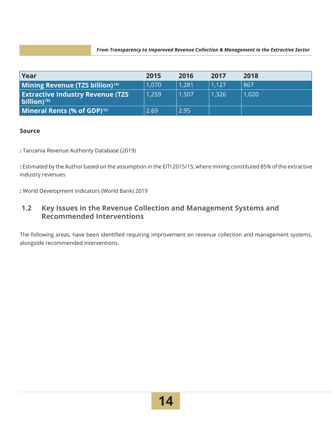| Year                                                                | 2015  | 2016  | 2017  | 2018  |
|---------------------------------------------------------------------|-------|-------|-------|-------|
| Mining Revenue (TZS billion) <sup>(a)</sup>                         | 1,070 | 1.281 | 1.127 | 867   |
| <b>Extractive Industry Revenue (TZS)</b><br>billion) <sup>(b)</sup> | 1,259 | 1.507 | 1,326 | 1,020 |
| Mineral Rents (% of GDP) $(c)$                                      | 2.69  | 2.95  |       |       |

#### **Source**

**:** Tanzania Revenue Authority Database (2019)

**:** Estimated by the Author based on the assumption in the EITI 2015/15, where mining constituted 85% of the extractive industry revenues

**:** World Development Indicators (World Bank) 2019

#### **1.2 Key Issues in the Revenue Collection and Management Systems and Recommended Interventions**

The following areas, have been identified requiring improvement on revenue collection and management systems, alongside recommended interventions.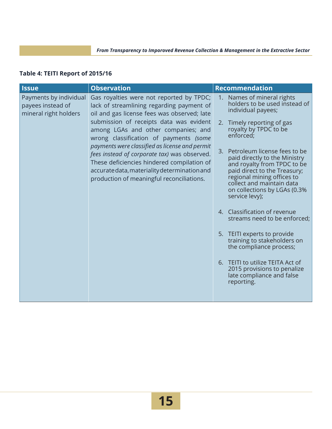#### **Table 4: TEITI Report of 2015/16**

| <b>Issue</b>                                                         | <b>Observation</b>                                                                                                                                                                                                                        |    | <b>Recommendation</b>                                                                                                                                                                                                                                                     |
|----------------------------------------------------------------------|-------------------------------------------------------------------------------------------------------------------------------------------------------------------------------------------------------------------------------------------|----|---------------------------------------------------------------------------------------------------------------------------------------------------------------------------------------------------------------------------------------------------------------------------|
| Payments by individual<br>payees instead of<br>mineral right holders | Gas royalties were not reported by TPDC;<br>lack of streamlining regarding payment of<br>oil and gas license fees was observed; late                                                                                                      |    | 1. Names of mineral rights<br>holders to be used instead of<br>individual payees;                                                                                                                                                                                         |
|                                                                      | submission of receipts data was evident<br>among LGAs and other companies; and<br>wrong classification of payments (some                                                                                                                  |    | 2. Timely reporting of gas<br>royalty by TPDC to be<br>enforced;                                                                                                                                                                                                          |
|                                                                      | payments were classified as license and permit<br>fees instead of corporate tax) was observed.<br>These deficiencies hindered compilation of<br>accurate data, materiality determination and<br>production of meaningful reconciliations. | 3. | Petroleum license fees to be<br>paid directly to the Ministry<br>and royalty from TPDC to be<br>paid direct to the Treasury;<br>regional mining offices to<br>collect and maintain data<br>on collections by LGAs (0.3%<br>service levy);<br>4. Classification of revenue |
|                                                                      |                                                                                                                                                                                                                                           |    | streams need to be enforced;                                                                                                                                                                                                                                              |
|                                                                      |                                                                                                                                                                                                                                           |    | 5. TEITI experts to provide<br>training to stakeholders on<br>the compliance process;                                                                                                                                                                                     |
|                                                                      |                                                                                                                                                                                                                                           |    | 6. TEITI to utilize TEITA Act of<br>2015 provisions to penalize<br>late compliance and false<br>reporting.                                                                                                                                                                |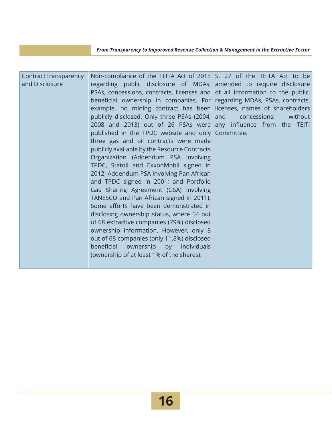| Contract transparency<br>and Disclosure | Non-compliance of the TEITA Act of 2015 S. 27 of the TEITA Act to be<br>regarding public disclosure of MDAs, amended to require disclosure<br>PSAs, concessions, contracts, licenses and of all information to the public,<br>beneficial ownership in companies. For regarding MDAs, PSAs, contracts,<br>example, no mining contract has been licenses, names of shareholders<br>publicly disclosed. Only three PSAs (2004, and<br>2008 and 2013) out of 26 PSAs were any influence from the TEITI<br>published in the TPDC website and only Committee.<br>three gas and oil contracts were made<br>publicly available by the Resource Contracts<br>Organization (Addendum PSA involving<br>TPDC, Statoil and ExxonMobil signed in<br>2012; Addendum PSA involving Pan African<br>and TPDC signed in 2001; and Portfolio<br>Gas Sharing Agreement (GSA) involving<br>TANESCO and Pan African signed in 2011). | without<br>concessions, |
|-----------------------------------------|---------------------------------------------------------------------------------------------------------------------------------------------------------------------------------------------------------------------------------------------------------------------------------------------------------------------------------------------------------------------------------------------------------------------------------------------------------------------------------------------------------------------------------------------------------------------------------------------------------------------------------------------------------------------------------------------------------------------------------------------------------------------------------------------------------------------------------------------------------------------------------------------------------------|-------------------------|
|                                         |                                                                                                                                                                                                                                                                                                                                                                                                                                                                                                                                                                                                                                                                                                                                                                                                                                                                                                               |                         |
|                                         |                                                                                                                                                                                                                                                                                                                                                                                                                                                                                                                                                                                                                                                                                                                                                                                                                                                                                                               |                         |
|                                         |                                                                                                                                                                                                                                                                                                                                                                                                                                                                                                                                                                                                                                                                                                                                                                                                                                                                                                               |                         |
|                                         |                                                                                                                                                                                                                                                                                                                                                                                                                                                                                                                                                                                                                                                                                                                                                                                                                                                                                                               |                         |
|                                         |                                                                                                                                                                                                                                                                                                                                                                                                                                                                                                                                                                                                                                                                                                                                                                                                                                                                                                               |                         |
|                                         |                                                                                                                                                                                                                                                                                                                                                                                                                                                                                                                                                                                                                                                                                                                                                                                                                                                                                                               |                         |
|                                         | Some efforts have been demonstrated in                                                                                                                                                                                                                                                                                                                                                                                                                                                                                                                                                                                                                                                                                                                                                                                                                                                                        |                         |
|                                         | disclosing ownership status, where 54 out                                                                                                                                                                                                                                                                                                                                                                                                                                                                                                                                                                                                                                                                                                                                                                                                                                                                     |                         |
|                                         | of 68 extractive companies (79%) disclosed                                                                                                                                                                                                                                                                                                                                                                                                                                                                                                                                                                                                                                                                                                                                                                                                                                                                    |                         |
|                                         | ownership information. However, only 8                                                                                                                                                                                                                                                                                                                                                                                                                                                                                                                                                                                                                                                                                                                                                                                                                                                                        |                         |
|                                         | out of 68 companies (only 11.8%) disclosed<br>beneficial ownership by individuals                                                                                                                                                                                                                                                                                                                                                                                                                                                                                                                                                                                                                                                                                                                                                                                                                             |                         |
|                                         | (ownership of at least 1% of the shares).                                                                                                                                                                                                                                                                                                                                                                                                                                                                                                                                                                                                                                                                                                                                                                                                                                                                     |                         |
|                                         |                                                                                                                                                                                                                                                                                                                                                                                                                                                                                                                                                                                                                                                                                                                                                                                                                                                                                                               |                         |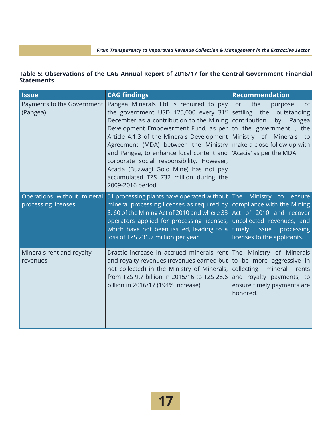#### **Table 5: Observations of the CAG Annual Report of 2016/17 for the Central Government Financial Statements**

| <b>Issue</b>                                      | <b>CAG findings</b>                                                                                                                                                                                                                                                                                                                                                                                                                                       | <b>Recommendation</b>                                                                                                                                                                                                |
|---------------------------------------------------|-----------------------------------------------------------------------------------------------------------------------------------------------------------------------------------------------------------------------------------------------------------------------------------------------------------------------------------------------------------------------------------------------------------------------------------------------------------|----------------------------------------------------------------------------------------------------------------------------------------------------------------------------------------------------------------------|
| Payments to the Government<br>(Pangea)            | Pangea Minerals Ltd is required to pay<br>the government USD 125,000 every 31st<br>December as a contribution to the Mining<br>Development Empowerment Fund, as per<br>Article 4.1.3 of the Minerals Development<br>Agreement (MDA) between the Ministry<br>and Pangea, to enhance local content and<br>corporate social responsibility. However,<br>Acacia (Buzwagi Gold Mine) has not pay<br>accumulated TZS 732 million during the<br>2009-2016 period | the<br><sub>of</sub><br>For<br>purpose<br>settling the<br>outstanding<br>contribution<br>by<br>Pangea<br>to the government, the<br>Ministry of Minerals to<br>make a close follow up with<br>'Acacia' as per the MDA |
| Operations without mineral<br>processing licenses | 51 processing plants have operated without<br>mineral processing licenses as required by<br>S. 60 of the Mining Act of 2010 and where 33<br>operators applied for processing licenses,<br>which have not been issued, leading to a<br>loss of TZS 231.7 million per year                                                                                                                                                                                  | The<br>Ministry to ensure<br>compliance with the Mining<br>Act of 2010 and recover<br>uncollected revenues, and<br>timely issue processing<br>licenses to the applicants.                                            |
| Minerals rent and royalty<br>revenues             | Drastic increase in accrued minerals rent<br>and royalty revenues (revenues earned but<br>not collected) in the Ministry of Minerals,<br>from TZS 9.7 billion in 2015/16 to TZS 28.6<br>billion in 2016/17 (194% increase).                                                                                                                                                                                                                               | The Ministry of Minerals<br>to be more aggressive in<br>collecting<br>mineral<br>rents<br>and royalty payments, to<br>ensure timely payments are<br>honored.                                                         |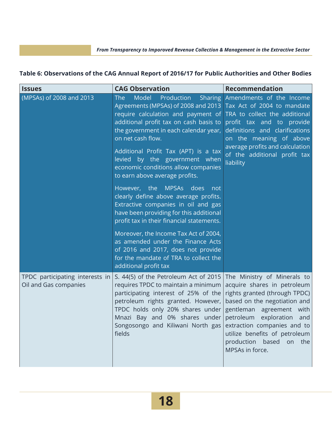| <b>Issues</b>                                            | <b>CAG Observation</b>                                                                                                                                                                                                                                                                                                                                                                                                | <b>Recommendation</b>                                                                                                                                                                                                                                                     |
|----------------------------------------------------------|-----------------------------------------------------------------------------------------------------------------------------------------------------------------------------------------------------------------------------------------------------------------------------------------------------------------------------------------------------------------------------------------------------------------------|---------------------------------------------------------------------------------------------------------------------------------------------------------------------------------------------------------------------------------------------------------------------------|
| (MPSAs) of 2008 and 2013                                 | Model<br><b>The</b><br>Production<br><b>Sharing</b><br>Agreements (MPSAs) of 2008 and 2013 Tax Act of 2004 to mandate<br>require calculation and payment of<br>additional profit tax on cash basis to<br>the government in each calendar year,<br>on net cash flow.<br>Additional Profit Tax (APT) is a tax<br>levied by the government when<br>economic conditions allow companies<br>to earn above average profits. | Amendments of the Income<br>TRA to collect the additional<br>profit tax and to provide<br>definitions and clarifications<br>on the meaning of above<br>average profits and calculation<br>of the additional profit tax<br>liability                                       |
|                                                          | However, the MPSAs does<br>not<br>clearly define above average profits.<br>Extractive companies in oil and gas<br>have been providing for this additional<br>profit tax in their financial statements.<br>Moreover, the Income Tax Act of 2004,<br>as amended under the Finance Acts<br>of 2016 and 2017, does not provide<br>for the mandate of TRA to collect the<br>additional profit tax                          |                                                                                                                                                                                                                                                                           |
| TPDC participating interests in<br>Oil and Gas companies | S. 44(5) of the Petroleum Act of 2015<br>requires TPDC to maintain a minimum<br>participating interest of 25% of the<br>petroleum rights granted. However,<br>TPDC holds only 20% shares under<br>Mnazi Bay and 0% shares under<br>Songosongo and Kiliwani North gas extraction companies and to<br>fields                                                                                                            | The Ministry of Minerals to<br>acquire shares in petroleum<br>rights granted (through TPDC)<br>based on the negotiation and<br>gentleman agreement with<br>petroleum<br>exploration<br>and<br>utilize benefits of petroleum<br>production based on the<br>MPSAs in force. |

#### **Table 6: Observations of the CAG Annual Report of 2016/17 for Public Authorities and Other Bodies**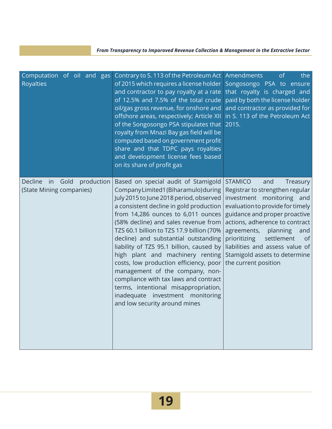| Computation of oil and gas<br><b>Royalties</b>                  | Contrary to S. 113 of the Petroleum Act<br>of 2015 which requires a license holder<br>and contractor to pay royalty at a rate<br>of 12.5% and 7.5% of the total crude<br>oil/gas gross revenue, for onshore and<br>offshore areas, respectively; Article XII<br>of the Songosongo PSA stipulates that<br>royalty from Mnazi Bay gas field will be<br>computed based on government profit<br>share and that TDPC pays royalties<br>and development license fees based<br>on its share of profit gas                                                                                                                                                      | Amendments<br>the<br><sub>of</sub><br>Songosongo PSA to ensure<br>that royalty is charged and<br>paid by both the license holder<br>and contractor as provided for<br>in S. 113 of the Petroleum Act<br>2015.                                                                                                                                                              |
|-----------------------------------------------------------------|---------------------------------------------------------------------------------------------------------------------------------------------------------------------------------------------------------------------------------------------------------------------------------------------------------------------------------------------------------------------------------------------------------------------------------------------------------------------------------------------------------------------------------------------------------------------------------------------------------------------------------------------------------|----------------------------------------------------------------------------------------------------------------------------------------------------------------------------------------------------------------------------------------------------------------------------------------------------------------------------------------------------------------------------|
| Gold<br>production<br>Decline<br>in<br>(State Mining companies) | Based on special audit of Stamigold<br>Company Limited1 (Biharamulo) during<br>July 2015 to June 2018 period, observed<br>a consistent decline in gold production<br>from 14,286 ounces to 6,011 ounces<br>(58% decline) and sales revenue from<br>TZS 60.1 billion to TZS 17.9 billion (70%<br>decline) and substantial outstanding<br>liability of TZS 95.1 billion, caused by<br>high plant and machinery renting<br>costs, low production efficiency, poor<br>management of the company, non-<br>compliance with tax laws and contract<br>terms, intentional misappropriation,<br>inadequate investment monitoring<br>and low security around mines | <b>STAMICO</b><br>and<br>Treasury<br>Registrar to strengthen regular<br>investment monitoring and<br>evaluation to provide for timely<br>guidance and proper proactive<br>actions, adherence to contract<br>agreements,<br>planning<br>and<br>prioritizing<br>settlement<br>0f<br>liabilities and assess value of<br>Stamigold assets to determine<br>the current position |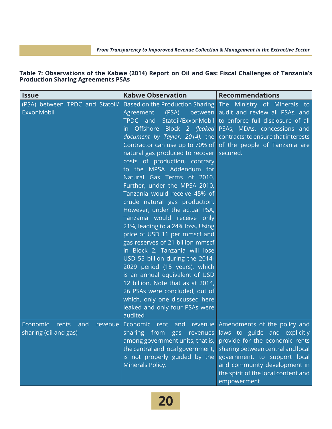#### **Table 7: Observations of the Kabwe (2014) Report on Oil and Gas: Fiscal Challenges of Tanzania's Production Sharing Agreements PSAs**

| <b>Issue</b>                                      | <b>Kabwe Observation</b>                                                                                                                                                                                                                                                                                                                                                                                                                                                                                                                                                                                                                                                                                        | <b>Recommendations</b>                                                                                                                                                                                                                                                                                                                                                                   |
|---------------------------------------------------|-----------------------------------------------------------------------------------------------------------------------------------------------------------------------------------------------------------------------------------------------------------------------------------------------------------------------------------------------------------------------------------------------------------------------------------------------------------------------------------------------------------------------------------------------------------------------------------------------------------------------------------------------------------------------------------------------------------------|------------------------------------------------------------------------------------------------------------------------------------------------------------------------------------------------------------------------------------------------------------------------------------------------------------------------------------------------------------------------------------------|
| (PSA) between TPDC and Statoil/<br>ExxonMobil     | natural gas produced to recover secured.<br>costs of production, contrary<br>to the MPSA Addendum for<br>Natural Gas Terms of 2010.<br>Further, under the MPSA 2010,<br>Tanzania would receive 45% of<br>crude natural gas production.<br>However, under the actual PSA,<br>Tanzania would receive only<br>21%, leading to a 24% loss. Using<br>price of USD 11 per mmscf and<br>gas reserves of 21 billion mmscf<br>in Block 2, Tanzania will lose<br>USD 55 billion during the 2014-<br>2029 period (15 years), which<br>is an annual equivalent of USD<br>12 billion. Note that as at 2014,<br>26 PSAs were concluded, out of<br>which, only one discussed here<br>leaked and only four PSAs were<br>audited | Based on the Production Sharing The Ministry of Minerals to<br>Agreement (PSA) between audit and review all PSAs, and<br>TPDC and Statoil/ExxonMobil to enforce full disclosure of all<br>in Offshore Block 2 (leaked PSAs, MDAs, concessions and<br>document by Taylor, 2014), the contracts; to ensure that interests<br>Contractor can use up to 70% of of the people of Tanzania are |
| Economic<br>rents<br>and<br>sharing (oil and gas) | revenue Economic rent and revenue Amendments of the policy and<br>among government units, that is,<br>the central and local government,<br>is not properly guided by the<br>Minerals Policy.                                                                                                                                                                                                                                                                                                                                                                                                                                                                                                                    | sharing from gas revenues laws to guide and explicitly<br>provide for the economic rents<br>sharing between central and local<br>government, to support local<br>and community development in<br>the spirit of the local content and<br>empowerment                                                                                                                                      |

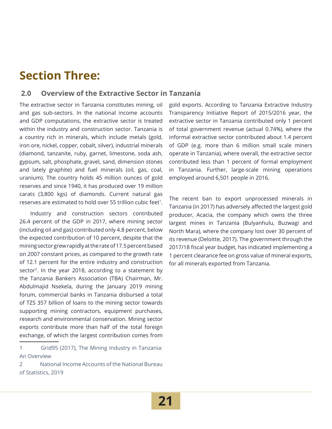## **Section Three:**

#### **2.0 Overview of the Extractive Sector in Tanzania**

The extractive sector in Tanzania constitutes mining, oil and gas sub-sectors. In the national income accounts and GDP computations, the extractive sector is treated within the industry and construction sector. Tanzania is a country rich in minerals, which include metals (gold, iron ore, nickel, copper, cobalt, silver), industrial minerals (diamond, tanzanite, ruby, garnet, limestone, soda ash, gypsum, salt, phosphate, gravel, sand, dimension stones and lately graphite) and fuel minerals (oil, gas, coal, uranium). The country holds 45 million ounces of gold reserves and since 1940, it has produced over 19 million carats (3,800 kgs) of diamonds. Current natural gas reserves are estimated to hold over 55 trillion cubic feet<sup>1</sup>.

Industry and construction sectors contributed 26.4 percent of the GDP in 2017, where mining sector (including oil and gas) contributed only 4.8 percent, below the expected contribution of 10 percent, despite that the mining sector grew rapidly at the rate of 17.5 percent based on 2007 constant prices, as compared to the growth rate of 12.1 percent for the entire industry and construction sector<sup>2</sup>. In the year 2018, according to a statement by the Tanzania Bankers Association (TBA) Chairman, Mr. Abdulmajid Nsekela, during the January 2019 mining forum, commercial banks in Tanzania disbursed a total of TZS 357 billion of loans to the mining sector towards supporting mining contractors, equipment purchases, research and environmental conservation. Mining sector exports contribute more than half of the total foreign exchange, of which the largest contribution comes from

2 National Income Accounts of the National Bureau of Statistics, 2019

gold exports. According to Tanzania Extractive Industry Transparency Initiative Report of 2015/2016 year, the extractive sector in Tanzania contributed only 1 percent of total government revenue (actual 0.74%), where the informal extractive sector contributed about 1.4 percent of GDP (e.g. more than 6 million small scale miners operate in Tanzania), where overall, the extractive sector contributed less than 1 percent of formal employment in Tanzania. Further, large-scale mining operations employed around 6,501 people in 2016.

The recent ban to export unprocessed minerals in Tanzania (in 2017) has adversely affected the largest gold producer, Acacia, the company which owns the three largest mines in Tanzania (Bulyanhulu, Buzwagi and North Mara), where the company lost over 30 percent of its revenue (Deloitte, 2017). The government through the 2017/18 fiscal year budget, has indicated implementing a 1 percent clearance fee on gross value of mineral exports, for all minerals exported from Tanzania.

<sup>1</sup> Grid95 (2017), The Mining Industry in Tanzania: An Overview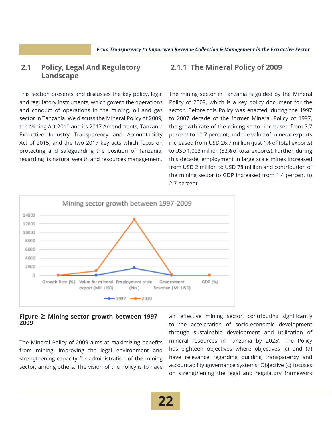#### **2.1 Policy, Legal And Regulatory Landscape**

This section presents and discusses the key policy, legal and regulatory instruments, which govern the operations and conduct of operations in the mining, oil and gas sector in Tanzania. We discuss the Mineral Policy of 2009, the Mining Act 2010 and its 2017 Amendments, Tanzania Extractive Industry Transparency and Accountability Act of 2015, and the two 2017 key acts which focus on protecting and safeguarding the position of Tanzania, regarding its natural wealth and resources management.

#### **2.1.1 The Mineral Policy of 2009**

The mining sector in Tanzania is guided by the Mineral Policy of 2009, which is a key policy document for the sector. Before this Policy was enacted, during the 1997 to 2007 decade of the former Mineral Policy of 1997, the growth rate of the mining sector increased from 7.7 percent to 10.7 percent, and the value of mineral exports increased from USD 26.7 million (just 1% of total exports) to USD 1,003 million (52% of total exports). Further, during this decade, employment in large scale mines increased from USD 2 million to USD 78 million and contribution of the mining sector to GDP increased from 1.4 percent to 2.7 percent



#### **Figure 2: Mining sector growth between 1997 – 2009**

The Mineral Policy of 2009 aims at maximizing benefits from mining, improving the legal environment and strengthening capacity for administration of the mining sector, among others. The vision of the Policy is to have an 'effective mining sector, contributing significantly to the acceleration of socio-economic development through sustainable development and utilization of mineral resources in Tanzania by 2025'. The Policy has eighteen objectives where objectives (c) and (d) have relevance regarding building transparency and accountability governance systems. Objective (c) focuses on strengthening the legal and regulatory framework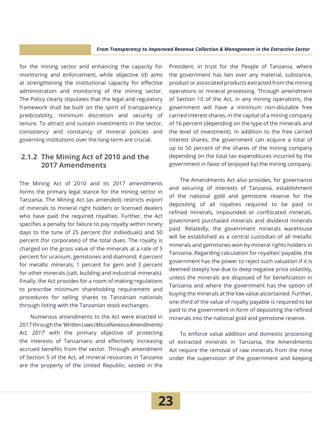for the mining sector and enhancing the capacity for monitoring and enforcement, while objective (d) aims at strengthening the institutional capacity for effective administration and monitoring of the mining sector. The Policy clearly stipulates that the legal and regulatory framework shall be built on the spirit of transparency, predictability, minimum discretion and security of tenure. To attract and sustain investments in the sector, consistency and constancy of mineral policies and governing institutions over the long-term are crucial.

#### **2.1.2 The Mining Act of 2010 and the 2017 Amendments**

The Mining Act of 2010 and its 2017 amendments forms the primary legal stance for the mining sector in Tanzania. The Mining Act (as amended) restricts export of minerals to mineral right holders or licensed dealers who have paid the required royalties. Further, the Act specifies a penalty for failure to pay royalty within ninety days to the tune of 25 percent (for individuals) and 50 percent (for corporates) of the total dues. The royalty is charged on the gross value of the minerals at a rate of 5 percent for uranium, gemstones and diamond; 4 percent for metallic minerals; 1 percent for gem and 3 percent for other minerals (salt, building and industrial minerals). Finally, the Act provides for a room of making regulations to prescribe minimum shareholding requirement and procedures for selling shares to Tanzanian nationals through listing with the Tanzanian stock exchanges.

Numerous amendments to the Act were enacted in 2017 through the '*Written Laws (Miscellaneous Amendments) Act, 2017*' with the primary objective of protecting the interests of Tanzanians and effectively increasing accrued benefits from the sector. Through amendment of Section 5 of the Act, all mineral resources in Tanzania are the property of the United Republic, vested in the

President, in trust for the People of Tanzania, where the government has lien over any material, substance, product or associated products extracted from the mining operations or mineral processing. Through amendment of Section 10 of the Act, in any mining operations, the government will have a minimum non-dilutable free carried interest shares, in the capital of a mining company of 16 percent (depending on the type of the minerals and the level of investment). In addition to the free carried interest shares, the government can acquire a total of up to 50 percent of the shares of the mining company depending on the total tax expenditures incurred by the government in favor of (enjoyed by) the mining company.

The Amendments Act also provides, for governance and securing of interests of Tanzania, establishment of the national gold and gemstone reserve for the depositing of all royalties required to be paid in refined minerals, impounded or confiscated minerals, government purchased minerals and dividend minerals paid. Relatedly, the government minerals warehouse will be established as a central custodian of all metallic minerals and gemstones won by mineral rights holders in Tanzania. Regarding calculation for royalties' payable, the government has the power to reject such valuation if it is deemed steeply low due to deep negative price volatility, unless the minerals are disposed of for beneficiation in Tanzania and where the government has the option of buying the minerals at the low value ascertained. Further, one-third of the value of royalty payable is required to be paid to the government in form of depositing the refined minerals into the national gold and gemstone reserve.

To enforce value addition and domestic processing of extracted minerals in Tanzania, the Amendments Act require the removal of raw minerals from the mine under the supervision of the government and keeping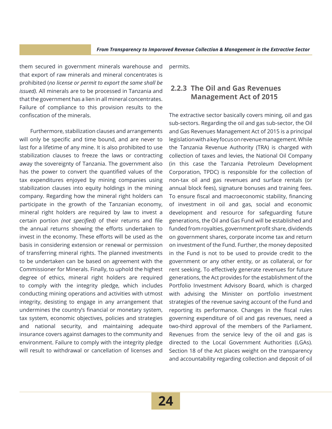them secured in government minerals warehouse and that export of raw minerals and mineral concentrates is prohibited (*no license or permit to export the same shall be issued).* All minerals are to be processed in Tanzania and that the government has a lien in all mineral concentrates. Failure of compliance to this provision results to the confiscation of the minerals.

Furthermore, stabilization clauses and arrangements will only be specific and time bound, and are never to last for a lifetime of any mine. It is also prohibited to use stabilization clauses to freeze the laws or contracting away the sovereignty of Tanzania. The government also has the power to convert the quantified values of the tax expenditures enjoyed by mining companies using stabilization clauses into equity holdings in the mining company. Regarding how the mineral right holders can participate in the growth of the Tanzanian economy, mineral right holders are required by law to invest a certain portion *(not specified)* of their returns and file the annual returns showing the efforts undertaken to invest in the economy. These efforts will be used as the basis in considering extension or renewal or permission of transferring mineral rights. The planned investments to be undertaken can be based on agreement with the Commissioner for Minerals. Finally, to uphold the highest degree of ethics, mineral right holders are required to comply with the integrity pledge, which includes conducting mining operations and activities with utmost integrity, desisting to engage in any arrangement that undermines the country's financial or monetary system, tax system, economic objectives, policies and strategies and national security, and maintaining adequate insurance covers against damages to the community and environment. Failure to comply with the integrity pledge will result to withdrawal or cancellation of licenses and

permits.

#### **2.2.3 The Oil and Gas Revenues Management Act of 2015**

The extractive sector basically covers mining, oil and gas sub-sectors. Regarding the oil and gas sub-sector, the Oil and Gas Revenues Management Act of 2015 is a principal legislation with a key focus on revenue management. While the Tanzania Revenue Authority (TRA) is charged with collection of taxes and levies, the National Oil Company (in this case the Tanzania Petroleum Development Corporation, TPDC) is responsible for the collection of non-tax oil and gas revenues and surface rentals (or annual block fees), signature bonuses and training fees. To ensure fiscal and macroeconomic stability, financing of investment in oil and gas, social and economic development and resource for safeguarding future generations, the Oil and Gas Fund will be established and funded from royalties, government profit share, dividends on government shares, corporate income tax and return on investment of the Fund. Further, the money deposited in the Fund is not to be used to provide credit to the government or any other entity, or as collateral, or for rent seeking. To effectively generate revenues for future generations, the Act provides for the establishment of the Portfolio Investment Advisory Board, which is charged with advising the Minister on portfolio investment strategies of the revenue saving account of the Fund and reporting its performance. Changes in the fiscal rules governing expenditure of oil and gas revenues, need a two-third approval of the members of the Parliament. Revenues from the service levy of the oil and gas is directed to the Local Government Authorities (LGAs). Section 18 of the Act places weight on the transparency and accountability regarding collection and deposit of oil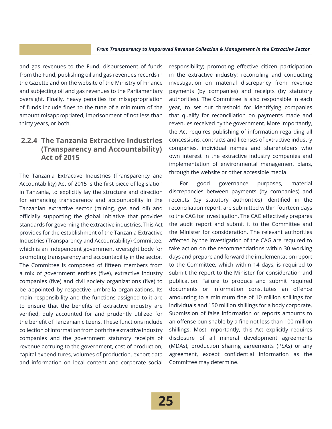and gas revenues to the Fund, disbursement of funds from the Fund, publishing oil and gas revenues records in the Gazette and on the website of the Ministry of Finance and subjecting oil and gas revenues to the Parliamentary oversight. Finally, heavy penalties for misappropriation of funds include fines to the tune of a minimum of the amount misappropriated, imprisonment of not less than thirty years, or both.

#### **2.2.4 The Tanzania Extractive Industries (Transparency and Accountability) Act of 2015**

The Tanzania Extractive Industries (Transparency and Accountability) Act of 2015 is the first piece of legislation in Tanzania, to explicitly lay the structure and direction for enhancing transparency and accountability in the Tanzanian extractive sector (mining, gas and oil) and officially supporting the global initiative that provides standards for governing the extractive industries. This Act provides for the establishment of the Tanzania Extractive Industries (Transparency and Accountability) Committee, which is an independent government oversight body for promoting transparency and accountability in the sector. The Committee is composed of fifteen members from a mix of government entities (five), extractive industry companies (five) and civil society organizations (five) to be appointed by respective umbrella organizations. Its main responsibility and the functions assigned to it are to ensure that the benefits of extractive industry are verified, duly accounted for and prudently utilized for the benefit of Tanzanian citizens. These functions include collection of information from both the extractive industry companies and the government statutory receipts of revenue accruing to the government, cost of production, capital expenditures, volumes of production, export data and information on local content and corporate social

responsibility; promoting effective citizen participation in the extractive industry; reconciling and conducting investigation on material discrepancy from revenue payments (by companies) and receipts (by statutory authorities). The Committee is also responsible in each year, to set out threshold for identifying companies that qualify for reconciliation on payments made and revenues received by the government. More importantly, the Act requires publishing of information regarding all concessions, contracts and licenses of extractive industry companies, individual names and shareholders who own interest in the extractive industry companies and implementation of environmental management plans, through the website or other accessible media.

For good governance purposes, material discrepancies between payments (by companies) and receipts (by statutory authorities) identified in the reconciliation report, are submitted within fourteen days to the CAG for investigation. The CAG effectively prepares the audit report and submit it to the Committee and the Minister for consideration. The relevant authorities affected by the investigation of the CAG are required to take action on the recommendations within 30 working days and prepare and forward the implementation report to the Committee, which within 14 days, is required to submit the report to the Minister for consideration and publication. Failure to produce and submit required documents or information constitutes an offence amounting to a minimum fine of 10 million shillings for individuals and 150 million shillings for a body corporate. Submission of false information or reports amounts to an offense punishable by a fine not less than 100 million shillings. Most importantly, this Act explicitly requires disclosure of all mineral development agreements (MDAs), production sharing agreements (PSAs) or any agreement, except confidential information as the Committee may determine.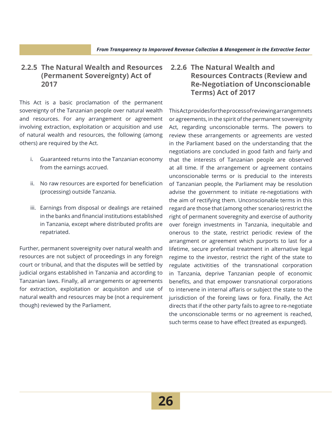#### **2.2.5 The Natural Wealth and Resources (Permanent Sovereignty) Act of 2017**

This Act is a basic proclamation of the permanent sovereignty of the Tanzanian people over natural wealth and resources. For any arrangement or agreement involving extraction, exploitation or acquisition and use of natural wealth and resources, the following (among others) are required by the Act.

- i. Guaranteed returns into the Tanzanian economy from the earnings accrued.
- ii. No raw resources are exported for beneficiation (processing) outside Tanzania.
- iii. Earnings from disposal or dealings are retained in the banks and financial institutions established in Tanzania, except where distributed profits are repatriated.

Further, permanent sovereignity over natural wealth and resources are not subject of proceedings in any foreign court or tribunal, and that the disputes will be settled by judicial organs established in Tanzania and according to Tanzanian laws. Finally, all arrangements or agreements for extraction, exploitation or acquisiton and use of natural wealth and resources may be (not a requirement though) reviewed by the Parliament.

#### **2.2.6 The Natural Wealth and Resources Contracts (Review and Re-Negotiation of Unconscionable Terms) Act of 2017**

This Act provides for the process of reviewing arrangemnets or agreements, in the spirit of the permanent sovereignity Act, regarding unconscionable terms. The powers to review these arrangements or agreements are vested in the Parliament based on the understanding that the negotiations are concluded in good faith and fairly and that the interests of Tanzanian people are observed at all time. If the arrangement or agreement contains unconscionable terms or is preducial to the interests of Tanzanian people, the Parliament may be resolution advise the government to initiate re-negotiations with the aim of rectifying them. Unconscionable terms in this regard are those that (among other scenarios) restrict the right of permanent soveregnity and exercise of authority over foreign investments in Tanzania, inequitable and onerous to the state, restrict periodic review of the arrangment or agreement which purports to last for a lifetime, secure prefential treatment in alternative legal regime to the investor, restrict the right of the state to regulate activitities of the transnational corporation in Tanzania, deprive Tanzanian people of economic benefits, and that empower transnational corporations to intervene in internal affaris or subject the state to the jurisdiction of the foreing laws or fora. Finally, the Act directs that if the other party fails to agree to re-negotiate the unconscionable terms or no agreement is reached, such terms cease to have effect (treated as expunged).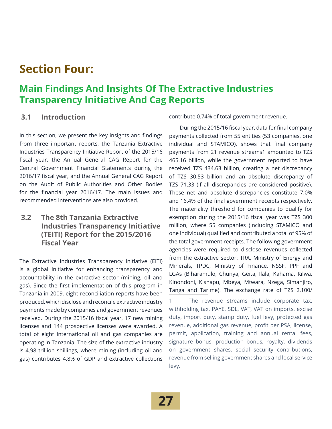### **Section Four:**

### **Main Findings And Insights Of The Extractive Industries Transparency Initiative And Cag Reports**

#### **3.1 Introduction**

In this section, we present the key insights and findings from three important reports, the Tanzania Extractive Industries Transparency Initiative Report of the 2015/16 fiscal year, the Annual General CAG Report for the Central Government Financial Statements during the 2016/17 fiscal year, and the Annual General CAG Report on the Audit of Public Authorities and Other Bodies for the financial year 2016/17. The main issues and recommended interventions are also provided.

#### **3.2 The 8th Tanzania Extractive Industries Transparency Initiative (TEITI) Report for the 2015/2016 Fiscal Year**

The Extractive Industries Transparency Initiative (EITI) is a global initiative for enhancing transparency and accountability in the extractive sector (mining, oil and gas). Since the first implementation of this program in Tanzania in 2009, eight reconciliation reports have been produced, which disclose and reconcile extractive industry payments made by companies and government revenues received. During the 2015/16 fiscal year, 17 new mining licenses and 144 prospective licenses were awarded. A total of eight international oil and gas companies are operating in Tanzania. The size of the extractive industry is 4.98 trillion shillings, where mining (including oil and gas) contributes 4.8% of GDP and extractive collections

contribute 0.74% of total government revenue.

During the 2015/16 fiscal year, data for final company payments collected from 55 entities (53 companies, one individual and STAMICO), shows that final company payments from 21 revenue streams1 amounted to TZS 465.16 billion, while the government reported to have received TZS 434.63 billion, creating a net discrepancy of TZS 30.53 billion and an absolute discrepancy of TZS 71.33 (if all discrepancies are considered positive). These net and absolute discrepancies constitute 7.0% and 16.4% of the final government receipts respectively. The materiality threshold for companies to qualify for exemption during the 2015/16 fiscal year was TZS 300 million, where 55 companies (including STAMICO and one individual) qualified and contributed a total of 95% of the total government receipts. The following government agencies were required to disclose revenues collected from the extractive sector: TRA, Ministry of Energy and Minerals, TPDC, Ministry of Finance, NSSF, PPF and LGAs (Biharamulo, Chunya, Geita, Ilala, Kahama, Kilwa, Kinondoni, Kishapu, Mbeya, Mtwara, Nzega, Simanjiro, Tanga and Tarime). The exchange rate of TZS 2,100/

1 The revenue streams include corporate tax, withholding tax, PAYE, SDL, VAT, VAT on imports, excise duty, import duty, stamp duty, fuel levy, protected gas revenue, additional gas revenue, profit per PSA, license, permit, application, training and annual rental fees, signature bonus, production bonus, royalty, dividends on government shares, social security contributions, revenue from selling government shares and local service levy.

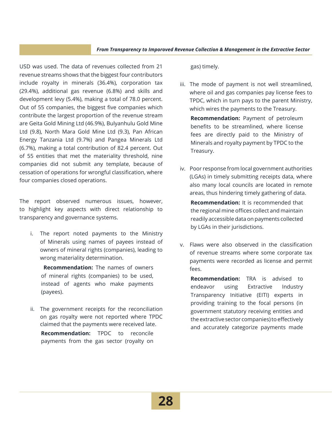USD was used. The data of revenues collected from 21 revenue streams shows that the biggest four contributors include royalty in minerals (36.4%), corporation tax (29.4%), additional gas revenue (6.8%) and skills and development levy (5.4%), making a total of 78.0 percent. Out of 55 companies, the biggest five companies which contribute the largest proportion of the revenue stream are Geita Gold Mining Ltd (46.9%), Bulyanhulu Gold Mine Ltd (9.8), North Mara Gold Mine Ltd (9.3), Pan African Energy Tanzania Ltd (9.7%) and Pangea Minerals Ltd (6.7%), making a total contribution of 82.4 percent. Out of 55 entities that met the materiality threshold, nine companies did not submit any template, because of cessation of operations for wrongful classification, where four companies closed operations.

The report observed numerous issues, however, to highlight key aspects with direct relationship to transparency and governance systems.

i. The report noted payments to the Ministry of Minerals using names of payees instead of owners of mineral rights (companies), leading to wrong materiality determination.

**Recommendation:** The names of owners of mineral rights (companies) to be used, instead of agents who make payments (payees).

ii. The government receipts for the reconciliation on gas royalty were not reported where TPDC claimed that the payments were received late.

**Recommendation:** TPDC to reconcile payments from the gas sector (royalty on gas) timely.

- iii. The mode of payment is not well streamlined, where oil and gas companies pay license fees to TPDC, which in turn pays to the parent Ministry, which wires the payments to the Treasury. **Recommendation:** Payment of petroleum benefits to be streamlined, where license fees are directly paid to the Ministry of Minerals and royalty payment by TPDC to the Treasury.
- iv. Poor response from local government authorities (LGAs) in timely submitting receipts data, where also many local councils are located in remote areas, thus hindering timely gathering of data.

**Recommendation:** It is recommended that the regional mine offices collect and maintain readily accessible data on payments collected by LGAs in their jurisdictions.

v. Flaws were also observed in the classification of revenue streams where some corporate tax payments were recorded as license and permit fees.

**Recommendation:** TRA is advised to endeavor using Extractive Industry Transparency Initiative (EITI) experts in providing training to the focal persons (in government statutory receiving entities and the extractive sector companies) to effectively and accurately categorize payments made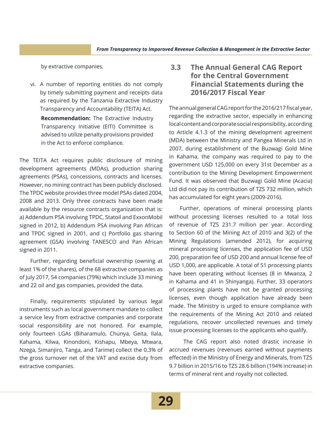by extractive companies.

vi. A number of reporting entities do not comply by timely submitting payment and receipts data as required by the Tanzania Extractive Industry Transparency and Accountability (TEITA) Act. **Recommendation:** The Extractive Industry Transparency Initiative (EITI) Committee is advised to utilize penalty provisions provided in the Act to enforce compliance.

The TEITA Act requires public disclosure of mining development agreements (MDAs), production sharing agreements (PSAs), concessions, contracts and licenses. However, no mining contract has been publicly disclosed. The TPDC website provides three model PSAs dated 2004, 2008 and 2013. Only three contracts have been made available by the resource contracts organization that is: a) Addendum PSA involving TPDC, Statoil and ExxonMobil signed in 2012, b) Addendum PSA involving Pan African and TPDC signed in 2001, and c) Portfolio gas sharing agreement (GSA) involving TANESCO and Pan African signed in 2011.

Further, regarding beneficial ownership (owning at least 1% of the shares), of the 68 extractive companies as of July 2017, 54 companies (79%) which include 33 mining and 22 oil and gas companies, provided the data.

Finally, requirements stipulated by various legal instruments such as local government mandate to collect a service levy from extractive companies and corporate social responsibility are not honored. For example, only fourteen LGAs (Biharamulo, Chunya, Geita, Ilala, Kahama, Kilwa, Kinondoni, Kishapu, Mbeya, Mtwara, Nzega, Simanjiro, Tanga, and Tarime) collect the 0.3% of the gross turnover net of the VAT and excise duty from extractive companies.

#### **3.3 The Annual General CAG Report for the Central Government Financial Statements during the 2016/2017 Fiscal Year**

The annual general CAG report for the 2016/217 fiscal year, regarding the extractive sector, especially in enhancing local content and corporate social responsibility, according to Article 4.1.3 of the mining development agreement (MDA) between the Ministry and Pangea Minerals Ltd in 2007, during establishment of the Buzwagi Gold Mine in Kahama, the company was required to pay to the government USD 125,000 on every 31st December as a contribution to the Mining Development Empowerment Fund. It was observed that Buzwagi Gold Mine (Acacia) Ltd did not pay its contribution of TZS 732 million, which has accumulated for eight years (2009-2016).

Further, operations of mineral processing plants without processing licenses resulted to a total loss of revenue of TZS 231.7 million per year. According to Section 60 of the Mining Act of 2010 and 3(2) of the Mining Regulations (amended 2012), for acquiring mineral processing licenses, the application fee of USD 200, preparation fee of USD 200 and annual license fee of USD 1,000, are applicable. A total of 51 processing plants have been operating without licenses (8 in Mwanza, 2 in Kahama and 41 in Shinyanga). Further, 33 operators of processing plants have not be granted processing licenses, even though application have already been made. The Ministry is urged to ensure compliance with the requirements of the Mining Act 2010 and related regulations, recover uncollected revenues and timely issue processing licenses to the applicants who qualify.

 The CAG report also noted drastic increase in accrued revenues (revenues earned without payments effected) in the Ministry of Energy and Minerals, from TZS 9.7 billion in 2015/16 to TZS 28.6 billion (194% increase) in terms of mineral rent and royalty not collected.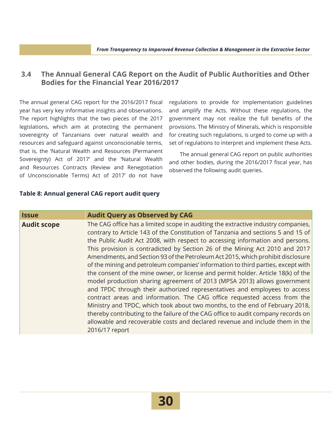#### **3.4 The Annual General CAG Report on the Audit of Public Authorities and Other Bodies for the Financial Year 2016/2017**

The annual general CAG report for the 2016/2017 fiscal year has very key informative insights and observations. The report highlights that the two pieces of the 2017 legislations, which aim at protecting the permanent sovereignty of Tanzanians over natural wealth and resources and safeguard against unconscionable terms, that is, the 'Natural Wealth and Resources (Permanent Sovereignty) Act of 2017' and the 'Natural Wealth and Resources Contracts (Review and Renegotiation of Unconscionable Terms) Act of 2017' do not have

regulations to provide for implementation guidelines and amplify the Acts. Without these regulations, the government may not realize the full benefits of the provisions. The Ministry of Minerals, which is responsible for creating such regulations, is urged to come up with a set of regulations to interpret and implement these Acts.

The annual general CAG report on public authorities and other bodies, during the 2016/2017 fiscal year, has observed the following audit queries.

#### **Table 8: Annual general CAG report audit query**

| <b>Issue</b>       | <b>Audit Query as Observed by CAG</b>                                                                                                                                                                                                                                                                                                                                                                                                                                                                                                                                                                                                                                                                                                                                                                                                                                                                                                                                                                                                                                                                          |
|--------------------|----------------------------------------------------------------------------------------------------------------------------------------------------------------------------------------------------------------------------------------------------------------------------------------------------------------------------------------------------------------------------------------------------------------------------------------------------------------------------------------------------------------------------------------------------------------------------------------------------------------------------------------------------------------------------------------------------------------------------------------------------------------------------------------------------------------------------------------------------------------------------------------------------------------------------------------------------------------------------------------------------------------------------------------------------------------------------------------------------------------|
| <b>Audit scope</b> | The CAG office has a limited scope in auditing the extractive industry companies,<br>contrary to Article 143 of the Constitution of Tanzania and sections 5 and 15 of<br>the Public Audit Act 2008, with respect to accessing information and persons.<br>This provision is contradicted by Section 26 of the Mining Act 2010 and 2017<br>Amendments, and Section 93 of the Petroleum Act 2015, which prohibit disclosure<br>of the mining and petroleum companies' information to third parties, except with<br>the consent of the mine owner, or license and permit holder. Article 18(k) of the<br>model production sharing agreement of 2013 (MPSA 2013) allows government<br>and TPDC through their authorized representatives and employees to access<br>contract areas and information. The CAG office requested access from the<br>Ministry and TPDC, which took about two months, to the end of February 2018,<br>thereby contributing to the failure of the CAG office to audit company records on<br>allowable and recoverable costs and declared revenue and include them in the<br>2016/17 report |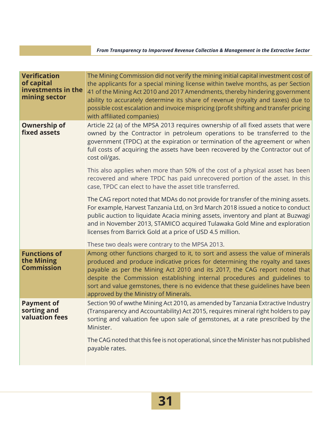| <b>Verification</b><br>of capital<br>investments in the<br>mining sector | The Mining Commission did not verify the mining initial capital investment cost of<br>the applicants for a special mining license within twelve months, as per Section<br>41 of the Mining Act 2010 and 2017 Amendments, thereby hindering government<br>ability to accurately determine its share of revenue (royalty and taxes) due to<br>possible cost escalation and invoice mispricing (profit shifting and transfer pricing<br>with affiliated companies) |
|--------------------------------------------------------------------------|-----------------------------------------------------------------------------------------------------------------------------------------------------------------------------------------------------------------------------------------------------------------------------------------------------------------------------------------------------------------------------------------------------------------------------------------------------------------|
| <b>Ownership of</b><br>fixed assets                                      | Article 22 (a) of the MPSA 2013 requires ownership of all fixed assets that were<br>owned by the Contractor in petroleum operations to be transferred to the<br>government (TPDC) at the expiration or termination of the agreement or when<br>full costs of acquiring the assets have been recovered by the Contractor out of<br>cost oil/gas.                                                                                                                 |
|                                                                          | This also applies when more than 50% of the cost of a physical asset has been<br>recovered and where TPDC has paid unrecovered portion of the asset. In this<br>case, TPDC can elect to have the asset title transferred.                                                                                                                                                                                                                                       |
|                                                                          | The CAG report noted that MDAs do not provide for transfer of the mining assets.<br>For example, Harvest Tanzania Ltd, on 3rd March 2018 issued a notice to conduct<br>public auction to liquidate Acacia mining assets, inventory and plant at Buzwagi<br>and in November 2013, STAMICO acquired Tulawaka Gold Mine and exploration<br>licenses from Barrick Gold at a price of USD 4.5 million.                                                               |
|                                                                          | These two deals were contrary to the MPSA 2013.                                                                                                                                                                                                                                                                                                                                                                                                                 |
| <b>Functions of</b><br>the Mining<br><b>Commission</b>                   | Among other functions charged to it, to sort and assess the value of minerals<br>produced and produce indicative prices for determining the royalty and taxes<br>payable as per the Mining Act 2010 and its 2017, the CAG report noted that<br>despite the Commission establishing internal procedures and guidelines to<br>sort and value gemstones, there is no evidence that these guidelines have been<br>approved by the Ministry of Minerals.             |
| <b>Payment of</b><br>sorting and<br>valuation fees                       | Section 90 of wwthe Mining Act 2010, as amended by Tanzania Extractive Industry<br>(Transparency and Accountability) Act 2015, requires mineral right holders to pay<br>sorting and valuation fee upon sale of gemstones, at a rate prescribed by the<br>Minister.                                                                                                                                                                                              |
|                                                                          | The CAG noted that this fee is not operational, since the Minister has not published<br>payable rates.                                                                                                                                                                                                                                                                                                                                                          |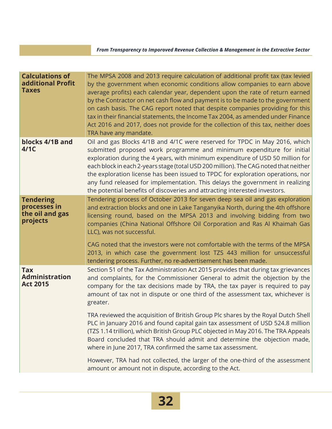| <b>Calculations of</b><br>additional Profit<br><b>Taxes</b>     | The MPSA 2008 and 2013 require calculation of additional profit tax (tax levied<br>by the government when economic conditions allow companies to earn above<br>average profits) each calendar year, dependent upon the rate of return earned<br>by the Contractor on net cash flow and payment is to be made to the government<br>on cash basis. The CAG report noted that despite companies providing for this<br>tax in their financial statements, the Income Tax 2004, as amended under Finance<br>Act 2016 and 2017, does not provide for the collection of this tax, neither does<br>TRA have any mandate. |
|-----------------------------------------------------------------|------------------------------------------------------------------------------------------------------------------------------------------------------------------------------------------------------------------------------------------------------------------------------------------------------------------------------------------------------------------------------------------------------------------------------------------------------------------------------------------------------------------------------------------------------------------------------------------------------------------|
| blocks 4/1B and<br>4/1C                                         | Oil and gas Blocks 4/1B and 4/1C were reserved for TPDC in May 2016, which<br>submitted proposed work programme and minimum expenditure for initial<br>exploration during the 4 years, with minimum expenditure of USD 50 million for<br>each block in each 2-years stage (total USD 200 million). The CAG noted that neither<br>the exploration license has been issued to TPDC for exploration operations, nor<br>any fund released for implementation. This delays the government in realizing<br>the potential benefits of discoveries and attracting interested investors.                                  |
| <b>Tendering</b><br>processes in<br>the oil and gas<br>projects | Tendering process of October 2013 for seven deep sea oil and gas exploration<br>and extraction blocks and one in Lake Tanganyika North, during the 4th offshore<br>licensing round, based on the MPSA 2013 and involving bidding from two<br>companies (China National Offshore Oil Corporation and Ras Al Khaimah Gas<br>LLC), was not successful.                                                                                                                                                                                                                                                              |
|                                                                 | CAG noted that the investors were not comfortable with the terms of the MPSA<br>2013, in which case the government lost TZS 443 million for unsuccessful<br>tendering process. Further, no re-advertisement has been made.                                                                                                                                                                                                                                                                                                                                                                                       |
| <b>Tax</b><br><b>Administration</b><br><b>Act 2015</b>          | Section 51 of the Tax Administration Act 2015 provides that during tax grievances<br>and complaints, for the Commissioner General to admit the objection by the<br>company for the tax decisions made by TRA, the tax payer is required to pay<br>amount of tax not in dispute or one third of the assessment tax, whichever is<br>greater.                                                                                                                                                                                                                                                                      |
|                                                                 | TRA reviewed the acquisition of British Group Plc shares by the Royal Dutch Shell<br>PLC in January 2016 and found capital gain tax assessment of USD 524.8 million<br>(TZS 1.14 trillion), which British Group PLC objected in May 2016. The TRA Appeals<br>Board concluded that TRA should admit and determine the objection made,<br>where in June 2017, TRA confirmed the same tax assessment.                                                                                                                                                                                                               |
|                                                                 | However, TRA had not collected, the larger of the one-third of the assessment<br>amount or amount not in dispute, according to the Act.                                                                                                                                                                                                                                                                                                                                                                                                                                                                          |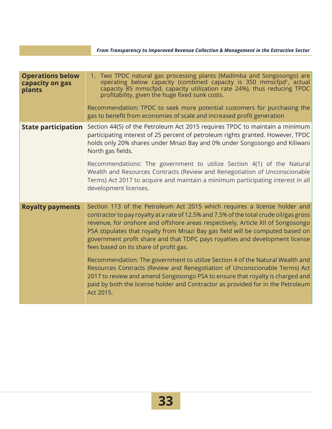| <b>Operations below</b><br>capacity on gas<br>plants | 1. Two TPDC natural gas processing plants (Madimba and Songosongo) are<br>operating below capacity (combined capacity is 350 mmscfpd <sup>1</sup> , actual<br>capacity 85 mmscfpd, capacity utilization rate 24%), thus reducing TPDC<br>profitability, given the huge fixed sunk costs.<br>Recommendation: TPDC to seek more potential customers for purchasing the<br>gas to benefit from economies of scale and increased profit generation                                                                                                                                                                                                                                                                                                                                                                     |
|------------------------------------------------------|--------------------------------------------------------------------------------------------------------------------------------------------------------------------------------------------------------------------------------------------------------------------------------------------------------------------------------------------------------------------------------------------------------------------------------------------------------------------------------------------------------------------------------------------------------------------------------------------------------------------------------------------------------------------------------------------------------------------------------------------------------------------------------------------------------------------|
| <b>State participation</b>                           | Section 44(5) of the Petroleum Act 2015 requires TPDC to maintain a minimum<br>participating interest of 25 percent of petroleum rights granted. However, TPDC<br>holds only 20% shares under Mnazi Bay and 0% under Songosongo and Kiliwani<br>North gas fields.<br>Recommendations: The government to utilize Section 4(1) of the Natural<br>Wealth and Resources Contracts (Review and Renegotiation of Unconscionable<br>Terms) Act 2017 to acquire and maintain a minimum participating interest in all<br>development licenses.                                                                                                                                                                                                                                                                              |
| <b>Royalty payments</b>                              | Section 113 of the Petroleum Act 2015 which requires a license holder and<br>contractor to pay royalty at a rate of 12.5% and 7.5% of the total crude oil/gas gross<br>revenue, for onshore and offshore areas respectively, Article XII of Songosongo<br>PSA stipulates that royalty from Mnazi Bay gas field will be computed based on<br>government profit share and that TDPC pays royalties and development license<br>fees based on its share of profit gas.<br>Recommendation: The government to utilize Section 4 of the Natural Wealth and<br>Resources Contracts (Review and Renegotiation of Unconscionable Terms) Act<br>2017 to review and amend Songosongo PSA to ensure that royalty is charged and<br>paid by both the license holder and Contractor as provided for in the Petroleum<br>Act 2015. |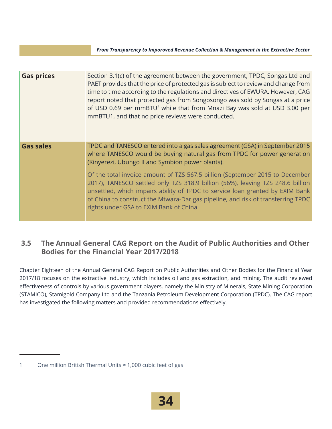*From Transparency to Imporoved Revenue Collection & Management in the Extractive Sector*

| <b>Gas prices</b> | Section 3.1(c) of the agreement between the government, TPDC, Songas Ltd and<br>PAET provides that the price of protected gas is subject to review and change from<br>time to time according to the regulations and directives of EWURA. However, CAG<br>report noted that protected gas from Songosongo was sold by Songas at a price<br>of USD 0.69 per mmBTU <sup>3</sup> while that from Mnazi Bay was sold at USD 3.00 per<br>mmBTU1, and that no price reviews were conducted. |
|-------------------|--------------------------------------------------------------------------------------------------------------------------------------------------------------------------------------------------------------------------------------------------------------------------------------------------------------------------------------------------------------------------------------------------------------------------------------------------------------------------------------|
| <b>Gas sales</b>  | TPDC and TANESCO entered into a gas sales agreement (GSA) in September 2015<br>where TANESCO would be buying natural gas from TPDC for power generation<br>(Kinyerezi, Ubungo II and Symbion power plants).                                                                                                                                                                                                                                                                          |
|                   | Of the total invoice amount of TZS 567.5 billion (September 2015 to December<br>2017), TANESCO settled only TZS 318.9 billion (56%), leaving TZS 248.6 billion<br>unsettled, which impairs ability of TPDC to service loan granted by EXIM Bank<br>of China to construct the Mtwara-Dar gas pipeline, and risk of transferring TPDC<br>rights under GSA to EXIM Bank of China.                                                                                                       |

#### **3.5 The Annual General CAG Report on the Audit of Public Authorities and Other Bodies for the Financial Year 2017/2018**

Chapter Eighteen of the Annual General CAG Report on Public Authorities and Other Bodies for the Financial Year 2017/18 focuses on the extractive industry, which includes oil and gas extraction, and mining. The audit reviewed effectiveness of controls by various government players, namely the Ministry of Minerals, State Mining Corporation (STAMICO), Stamigold Company Ltd and the Tanzania Petroleum Development Corporation (TPDC). The CAG report has investigated the following matters and provided recommendations effectively.

 <sup>1</sup> One million British Thermal Units ≈ 1,000 cubic feet of gas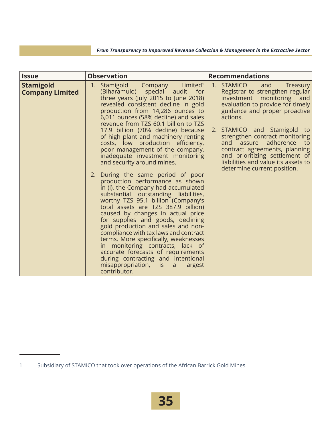| <b>Issue</b>                               | <b>Observation</b>                                                                                                                                                                                                                                                                                                                                                                                                                                                                                                                                                                                                                                                                                                                                                                                                                                                                                                                                                                            | <b>Recommendations</b>                                                                                                                                                                                                                                                                                                                                                                                                            |
|--------------------------------------------|-----------------------------------------------------------------------------------------------------------------------------------------------------------------------------------------------------------------------------------------------------------------------------------------------------------------------------------------------------------------------------------------------------------------------------------------------------------------------------------------------------------------------------------------------------------------------------------------------------------------------------------------------------------------------------------------------------------------------------------------------------------------------------------------------------------------------------------------------------------------------------------------------------------------------------------------------------------------------------------------------|-----------------------------------------------------------------------------------------------------------------------------------------------------------------------------------------------------------------------------------------------------------------------------------------------------------------------------------------------------------------------------------------------------------------------------------|
| <b>Stamigold</b><br><b>Company Limited</b> | Limited <sup>1</sup><br>Stamigold<br>1.<br>Company<br>(Biharamulo) special audit<br>for<br>three years (July 2015 to June 2018)<br>revealed consistent decline in gold<br>production from 14,286 ounces to<br>6,011 ounces (58% decline) and sales<br>revenue from TZS 60.1 billion to TZS<br>17.9 billion (70% decline) because<br>of high plant and machinery renting<br>costs, low production efficiency,<br>poor management of the company,<br>inadequate investment monitoring<br>and security around mines.<br>During the same period of poor<br>2.<br>production performance as shown<br>in (i), the Company had accumulated<br>substantial outstanding liabilities,<br>worthy TZS 95.1 billion (Company's<br>total assets are TZS 387.9 billion)<br>caused by changes in actual price<br>for supplies and goods, declining<br>gold production and sales and non-<br>compliance with tax laws and contract<br>terms. More specifically, weaknesses<br>in monitoring contracts, lack of | 1. STAMICO<br>and<br>Treasury<br>Registrar to strengthen regular<br>investment monitoring<br>and<br>evaluation to provide for timely<br>guidance and proper proactive<br>actions.<br>2. STAMICO and Stamigold<br>to -<br>strengthen contract monitoring<br>adherence<br>and assure<br>to<br>contract agreements, planning<br>and prioritizing settlement of<br>liabilities and value its assets to<br>determine current position. |
|                                            | accurate forecasts of requirements<br>during contracting and intentional<br>misappropriation,<br>is<br>largest<br>$\mathsf{a}$<br>contributor.                                                                                                                                                                                                                                                                                                                                                                                                                                                                                                                                                                                                                                                                                                                                                                                                                                                |                                                                                                                                                                                                                                                                                                                                                                                                                                   |

 <sup>1</sup> Subsidiary of STAMICO that took over operations of the African Barrick Gold Mines.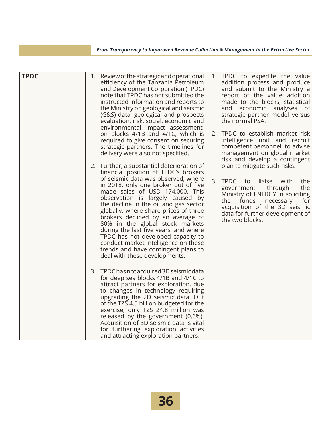| <b>TPDC</b> |                                                                                                                                                                                                                                                                                                                                                                                                                                                                                                                                                                                                   | 1. Review of the strategic and operational<br>efficiency of the Tanzania Petroleum<br>and Development Corporation (TPDC)<br>note that TPDC has not submitted the<br>instructed information and reports to<br>the Ministry on geological and seismic<br>(G&S) data, geological and prospects<br>evaluation, risk, social, economic and<br>environmental impact assessment,<br>on blocks 4/1B and 4/1C, which is<br>required to give consent on securing<br>strategic partners. The timelines for<br>delivery were also not specified. | 1. TPDC to expedite the value<br>addition process and produce<br>and submit to the Ministry a<br>report of the value addition<br>made to the blocks, statistical<br>and economic analyses<br>of<br>strategic partner model versus<br>the normal PSA.<br>2. TPDC to establish market risk<br>intelligence unit and recruit<br>competent personnel, to advise<br>management on global market<br>risk and develop a contingent |
|-------------|---------------------------------------------------------------------------------------------------------------------------------------------------------------------------------------------------------------------------------------------------------------------------------------------------------------------------------------------------------------------------------------------------------------------------------------------------------------------------------------------------------------------------------------------------------------------------------------------------|--------------------------------------------------------------------------------------------------------------------------------------------------------------------------------------------------------------------------------------------------------------------------------------------------------------------------------------------------------------------------------------------------------------------------------------------------------------------------------------------------------------------------------------|-----------------------------------------------------------------------------------------------------------------------------------------------------------------------------------------------------------------------------------------------------------------------------------------------------------------------------------------------------------------------------------------------------------------------------|
|             | 2. Further, a substantial deterioration of<br>financial position of TPDC's brokers<br>of seismic data was observed, where<br>in 2018, only one broker out of five<br>made sales of USD 174,000. This<br>observation is largely caused by<br>the decline in the oil and gas sector<br>globally, where share prices of three<br>brokers declined by an average of<br>80% in the global stock markets<br>during the last five years, and where<br>TPDC has not developed capacity to<br>conduct market intelligence on these<br>trends and have contingent plans to<br>deal with these developments. | plan to mitigate such risks.<br>3. TPDC<br>with<br>the<br>liaise<br>to<br>through<br>the<br>government<br>Ministry of ENERGY in soliciting<br>the<br>funds<br>necessary<br>for<br>acquisition of the 3D seismic<br>data for further development of<br>the two blocks.                                                                                                                                                                                                                                                                |                                                                                                                                                                                                                                                                                                                                                                                                                             |
|             |                                                                                                                                                                                                                                                                                                                                                                                                                                                                                                                                                                                                   | 3. TPDC has not acquired 3D seismic data<br>for deep sea blocks 4/1B and 4/1C to<br>attract partners for exploration, due<br>to changes in technology requiring<br>upgrading the 2D seismic data. Out<br>of the TZS 4.5 billion budgeted for the<br>exercise, only TZS 24.8 million was<br>released by the government (0.6%).<br>Acquisition of 3D seismic data is vital<br>for furthering exploration activities<br>and attracting exploration partners.                                                                            |                                                                                                                                                                                                                                                                                                                                                                                                                             |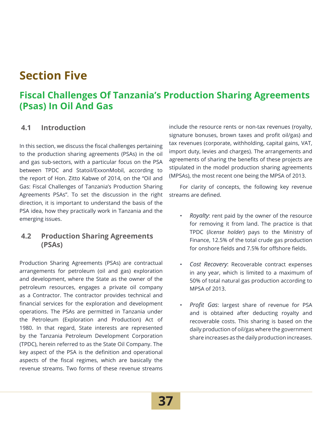## **Section Five**

### **Fiscal Challenges Of Tanzania's Production Sharing Agreements (Psas) In Oil And Gas**

#### **4.1 Introduction**

In this section, we discuss the fiscal challenges pertaining to the production sharing agreements (PSAs) in the oil and gas sub-sectors, with a particular focus on the PSA between TPDC and Statoil/ExxonMobil, according to the report of Hon. Zitto Kabwe of 2014, on the "Oil and Gas: Fiscal Challenges of Tanzania's Production Sharing Agreements PSAs". To set the discussion in the right direction, it is important to understand the basis of the PSA idea, how they practically work in Tanzania and the emerging issues.

#### **4.2 Production Sharing Agreements (PSAs)**

Production Sharing Agreements (PSAs) are contractual arrangements for petroleum (oil and gas) exploration and development, where the State as the owner of the petroleum resources, engages a private oil company as a Contractor. The contractor provides technical and financial services for the exploration and development operations. The PSAs are permitted in Tanzania under the Petroleum (Exploration and Production) Act of 1980. In that regard, State interests are represented by the Tanzania Petroleum Development Corporation (TPDC), herein referred to as the State Oil Company. The key aspect of the PSA is the definition and operational aspects of the fiscal regimes, which are basically the revenue streams. Two forms of these revenue streams

include the resource rents or non-tax revenues (royalty, signature bonuses, brown taxes and profit oil/gas) and tax revenues (corporate, withholding, capital gains, VAT, import duty, levies and charges). The arrangements and agreements of sharing the benefits of these projects are stipulated in the model production sharing agreements (MPSAs), the most recent one being the MPSA of 2013.

For clarity of concepts, the following key revenue streams are defined.

- *Royalty*: rent paid by the owner of the resource for removing it from land. The practice is that TPDC (*license holder*) pays to the Ministry of Finance, 12.5% of the total crude gas production for onshore fields and 7.5% for offshore fields.
- *Cost Recovery*: Recoverable contract expenses in any year, which is limited to a maximum of 50% of total natural gas production according to MPSA of 2013.
- *Profit Gas*: largest share of revenue for PSA and is obtained after deducting royalty and recoverable costs. This sharing is based on the daily production of oil/gas where the government share increases as the daily production increases.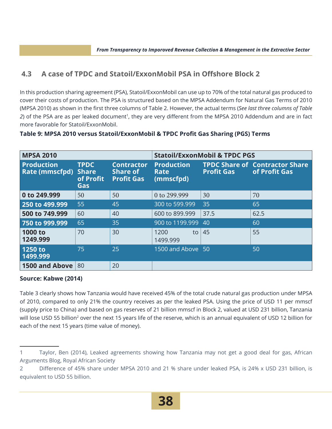#### **4.3 A case of TPDC and Statoil/ExxonMobil PSA in Offshore Block 2**

In this production sharing agreement (PSA), Statoil/ExxonMobil can use up to 70% of the total natural gas produced to cover their costs of production. The PSA is structured based on the MPSA Addendum for Natural Gas Terms of 2010 (MPSA 2010) as shown in the first three columns of Table 2. However, the actual terms (*See last three columns of Table 2*) of the PSA are as per leaked document<sup>1</sup>, they are very different from the MPSA 2010 Addendum and are in fact more favorable for Statoil/ExxonMobil.

| <b>MPSA 2010</b>                           |                                                 |                                                           |                                        | <b>Statoil/ExxonMobil &amp; TPDC PGS</b> |                                                        |
|--------------------------------------------|-------------------------------------------------|-----------------------------------------------------------|----------------------------------------|------------------------------------------|--------------------------------------------------------|
| <b>Production</b><br><b>Rate (mmscfpd)</b> | <b>TPDC</b><br><b>Share</b><br>of Profit<br>Gas | <b>Contractor</b><br><b>Share of</b><br><b>Profit Gas</b> | <b>Production</b><br>Rate<br>(mmscfpd) | <b>Profit Gas</b>                        | <b>TPDC Share of Contractor Share</b><br>of Profit Gas |
| 0 to 249.999                               | 50                                              | 50                                                        | 0 to 299,999                           | 30                                       | 70                                                     |
| 250 to 499.999                             | 55                                              | 45                                                        | 300 to 599.999                         | 35                                       | 65                                                     |
| 500 to 749.999                             | 60                                              | 40                                                        | 600 to 899,999                         | 37.5                                     | 62.5                                                   |
| 750 to 999.999                             | 65                                              | 35                                                        | 900 to 1199.999                        | 40                                       | 60                                                     |
| 1000 to<br>1249.999                        | 70                                              | 30                                                        | 1200<br>to<br>1499.999                 | 45                                       | 55                                                     |
| 1250 to<br>1499.999                        | 75                                              | 25                                                        | 1500 and Above 50                      |                                          | 50                                                     |
| <b>1500 and Above</b>                      | 80                                              | 20                                                        |                                        |                                          |                                                        |

#### **Table 9: MPSA 2010 versus Statoil/ExxonMobil & TPDC Profit Gas Sharing (PGS) Terms**

#### **Source: Kabwe (2014)**

Table 3 clearly shows how Tanzania would have received 45% of the total crude natural gas production under MPSA of 2010, compared to only 21% the country receives as per the leaked PSA. Using the price of USD 11 per mmscf (supply price to China) and based on gas reserves of 21 billion mmscf in Block 2, valued at USD 231 billion, Tanzania will lose USD 55 billion<sup>2</sup> over the next 15 years life of the reserve, which is an annual equivalent of USD 12 billion for each of the next 15 years (time value of money).

<sup>1</sup> Taylor, Ben (2014), Leaked agreements showing how Tanzania may not get a good deal for gas, African Arguments Blog, Royal African Society

<sup>2</sup> Difference of 45% share under MPSA 2010 and 21 % share under leaked PSA, is 24% x USD 231 billion, is equivalent to USD 55 billion.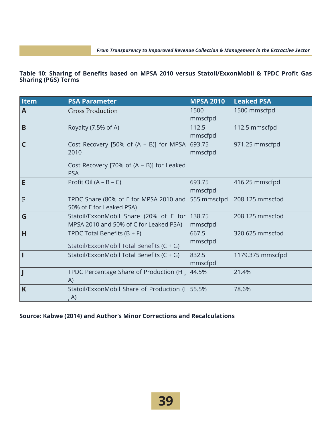#### **Table 10: Sharing of Benefits based on MPSA 2010 versus Statoil/ExxonMobil & TPDC Profit Gas Sharing (PGS) Terms**

| <b>Item</b> | <b>PSA Parameter</b>                                                                                       | <b>MPSA 2010</b>  | <b>Leaked PSA</b> |
|-------------|------------------------------------------------------------------------------------------------------------|-------------------|-------------------|
| A           | <b>Gross Production</b>                                                                                    | 1500<br>mmscfpd   | 1500 mmscfpd      |
| B           | Royalty (7.5% of A)                                                                                        | 112.5<br>mmscfpd  | 112.5 mmscfpd     |
| C           | Cost Recovery [50% of (A – B)] for MPSA<br>2010<br>Cost Recovery [70% of (A – B)] for Leaked<br><b>PSA</b> | 693.75<br>mmscfpd | 971.25 mmscfpd    |
| E           | Profit Oil $(A - B - C)$                                                                                   | 693.75<br>mmscfpd | 416.25 mmscfpd    |
| F           | TPDC Share (80% of E for MPSA 2010 and<br>50% of E for Leaked PSA)                                         | 555 mmscfpd       | 208.125 mmscfpd   |
| G           | Statoil/ExxonMobil Share (20% of E for<br>MPSA 2010 and 50% of C for Leaked PSA)                           | 138.75<br>mmscfpd | 208.125 mmscfpd   |
| H           | TPDC Total Benefits $(B + F)$<br>Statoil/ExxonMobil Total Benefits (C + G)                                 | 667.5<br>mmscfpd  | 320.625 mmscfpd   |
|             | Statoil/ExxonMobil Total Benefits (C + G)                                                                  | 832.5<br>mmscfpd  | 1179.375 mmscfpd  |
|             | TPDC Percentage Share of Production (H,<br>A)                                                              | 44.5%             | 21.4%             |
| K           | Statoil/ExxonMobil Share of Production (I<br>, A)                                                          | 55.5%             | 78.6%             |

#### **Source: Kabwe (2014) and Author's Minor Corrections and Recalculations**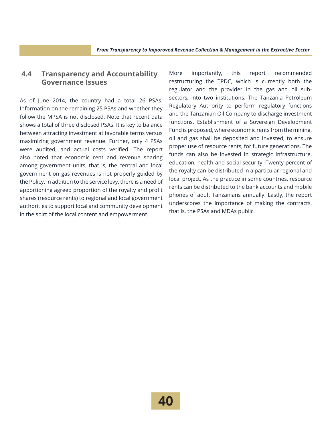#### **4.4 Transparency and Accountability Governance Issues**

As of June 2014, the country had a total 26 PSAs. Information on the remaining 25 PSAs and whether they follow the MPSA is not disclosed. Note that recent data shows a total of three disclosed PSAs. It is key to balance between attracting investment at favorable terms versus maximizing government revenue. Further, only 4 PSAs were audited, and actual costs verified. The report also noted that economic rent and revenue sharing among government units, that is, the central and local government on gas revenues is not properly guided by the Policy. In addition to the service levy, there is a need of apportioning agreed proportion of the royalty and profit shares (resource rents) to regional and local government authorities to support local and community development in the spirt of the local content and empowerment.

More importantly, this report recommended restructuring the TPDC, which is currently both the regulator and the provider in the gas and oil subsectors, into two institutions. The Tanzania Petroleum Regulatory Authority to perform regulatory functions and the Tanzanian Oil Company to discharge investment functions. Establishment of a Sovereign Development Fund is proposed, where economic rents from the mining, oil and gas shall be deposited and invested, to ensure proper use of resource rents, for future generations. The funds can also be invested in strategic infrastructure, education, health and social security. Twenty percent of the royalty can be distributed in a particular regional and local project. As the practice in some countries, resource rents can be distributed to the bank accounts and mobile phones of adult Tanzanians annually. Lastly, the report underscores the importance of making the contracts, that is, the PSAs and MDAs public.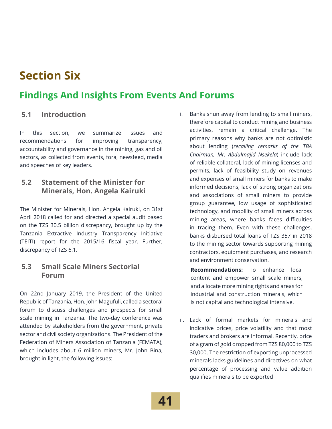## **Section Six**

### **Findings And Insights From Events And Forums**

#### **5.1 Introduction**

In this section, we summarize issues and recommendations for improving transparency, accountability and governance in the mining, gas and oil sectors, as collected from events, fora, newsfeed, media and speeches of key leaders.

#### **5.2 Statement of the Minister for Minerals, Hon. Angela Kairuki**

The Minister for Minerals, Hon. Angela Kairuki, on 31st April 2018 called for and directed a special audit based on the TZS 30.5 billion discrepancy, brought up by the Tanzania Extractive Industry Transparency Initiative (TEITI) report for the 2015/16 fiscal year. Further, discrepancy of TZS 6.1.

#### **5.3 Small Scale Miners Sectorial Forum**

On 22nd January 2019, the President of the United Republic of Tanzania, Hon. John Magufuli, called a sectoral forum to discuss challenges and prospects for small scale mining in Tanzania. The two-day conference was attended by stakeholders from the government, private sector and civil society organizations. The President of the Federation of Miners Association of Tanzania (FEMATA), which includes about 6 million miners, Mr. John Bina, brought in light, the following issues:

i. Banks shun away from lending to small miners, therefore capital to conduct mining and business activities, remain a critical challenge. The primary reasons why banks are not optimistic about lending (*recalling remarks of the TBA Chairman, Mr. Abdulmajid Nsekela*) include lack of reliable collateral, lack of mining licenses and permits, lack of feasibility study on revenues and expenses of small miners for banks to make informed decisions, lack of strong organizations and associations of small miners to provide group guarantee, low usage of sophisticated technology, and mobility of small miners across mining areas, where banks faces difficulties in tracing them. Even with these challenges, banks disbursed total loans of TZS 357 in 2018 to the mining sector towards supporting mining contractors, equipment purchases, and research and environment conservation.

**Recommendations:** To enhance local content and empower small scale miners, and allocate more mining rights and areas for industrial and construction minerals, which is not capital and technological intensive.

ii. Lack of formal markets for minerals and indicative prices, price volatility and that most traders and brokers are informal. Recently, price of a gram of gold dropped from TZS 80,000 to TZS 30,000. The restriction of exporting unprocessed minerals lacks guidelines and directives on what percentage of processing and value addition qualifies minerals to be exported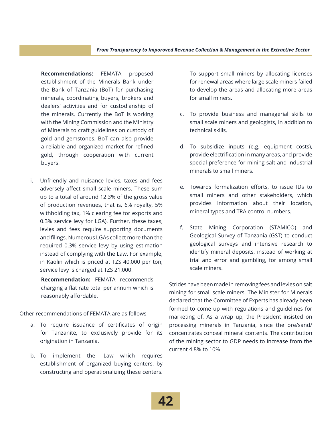**Recommendations:** FEMATA proposed establishment of the Minerals Bank under the Bank of Tanzania (BoT) for purchasing minerals, coordinating buyers, brokers and dealers' activities and for custodianship of the minerals. Currently the BoT is working with the Mining Commission and the Ministry of Minerals to craft guidelines on custody of gold and gemstones. BoT can also provide a reliable and organized market for refined gold, through cooperation with current buyers.

i. Unfriendly and nuisance levies, taxes and fees adversely affect small scale miners. These sum up to a total of around 12.3% of the gross value of production revenues, that is, 6% royalty, 5% withholding tax, 1% clearing fee for exports and 0.3% service levy for LGA). Further, these taxes, levies and fees require supporting documents and filings. Numerous LGAs collect more than the required 0.3% service levy by using estimation instead of complying with the Law. For example, in Kaolin which is priced at TZS 40,000 per ton, service levy is charged at TZS 21,000.

**Recommendation:** FEMATA recommends charging a flat rate total per annum which is reasonably affordable.

Other recommendations of FEMATA are as follows

- a. To require issuance of certificates of origin for Tanzanite, to exclusively provide for its origination in Tanzania.
- b. To implement the -Law which requires establishment of organized buying centers, by constructing and operationalizing these centers.

To support small miners by allocating licenses for renewal areas where large scale miners failed to develop the areas and allocating more areas for small miners.

- c. To provide business and managerial skills to small scale miners and geologists, in addition to technical skills.
- d. To subsidize inputs (e.g. equipment costs), provide electrification in many areas, and provide special preference for mining salt and industrial minerals to small miners.
- e. Towards formalization efforts, to issue IDs to small miners and other stakeholders, which provides information about their location, mineral types and TRA control numbers.
- f. State Mining Corporation (STAMICO) and Geological Survey of Tanzania (GST) to conduct geological surveys and intensive research to identify mineral deposits, instead of working at trial and error and gambling, for among small scale miners.

Strides have been made in removing fees and levies on salt mining for small scale miners. The Minister for Minerals declared that the Committee of Experts has already been formed to come up with regulations and guidelines for marketing of. As a wrap up, the President insisted on processing minerals in Tanzania, since the ore/sand/ concentrates conceal mineral contents. The contribution of the mining sector to GDP needs to increase from the current 4.8% to 10%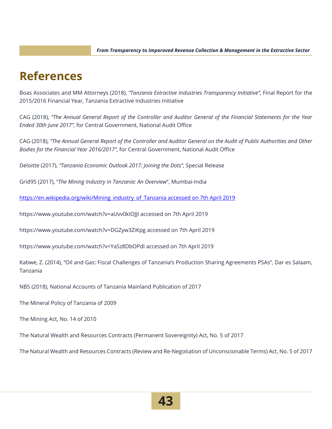## **References**

Boas Associates and MM Attorneys (2018), *"Tanzania Extractive Industries Transparency Initiative",* Final Report for the 2015/2016 Financial Year, Tanzania Extractive Industries Initiative

CAG (2018), *"The Annual General Report of the Controller and Auditor General of the Financial Statements for the Year Ended 30th June 2017",* for Central Government, National Audit Office

CAG (2018), *"The Annual General Report of the Controller and Auditor General on the Audit of Public Authorities and Other Bodies for the Financial Year 2016/2017"*, for Central Government, National Audit Office

Deloitte (2017), *"Tanzania Economic Outlook 2017: Joining the Dots"*, Special Release

Grid95 (2017), "*The Mining Industry in Tanzania: An Overview*", Mumbai-India

https://en.wikipedia.org/wiki/Mining\_industry\_of\_Tanzania accessed on 7th April 2019

https://www.youtube.com/watch?v=aUvv0kIOJJI accessed on 7th April 2019

https://www.youtube.com/watch?v=DGZyw3ZiKpg accessed on 7th April 2019

https://www.youtube.com/watch?v=YaSz8DbOPdI accessed on 7th April 2019

Kabwe, Z. (2014), "Oil and Gas: Fiscal Challenges of Tanzania's Production Sharing Agreements PSAs", Dar es Salaam, Tanzania

NBS (2018), National Accounts of Tanzania Mainland Publication of 2017

The Mineral Policy of Tanzania of 2009

The Mining Act, No. 14 of 2010

The Natural Wealth and Resources Contracts (Permanent Sovereignity) Act, No. 5 of 2017

The Natural Wealth and Resources Contracts (Review and Re-Negotiation of Unconscionable Terms) Act, No. 5 of 2017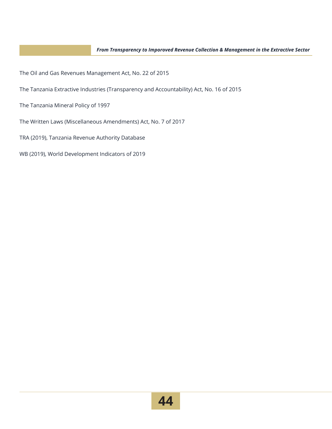The Oil and Gas Revenues Management Act, No. 22 of 2015

The Tanzania Extractive Industries (Transparency and Accountability) Act, No. 16 of 2015

The Tanzania Mineral Policy of 1997

The Written Laws (Miscellaneous Amendments) Act, No. 7 of 2017

TRA (2019), Tanzania Revenue Authority Database

WB (2019), World Development Indicators of 2019

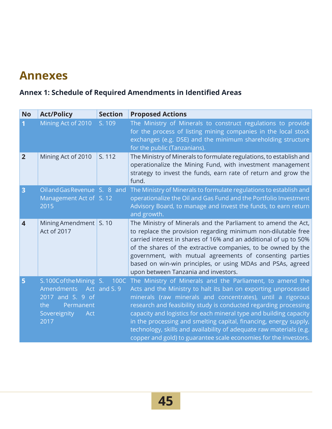## **Annexes**

### **Annex 1: Schedule of Required Amendments in Identified Areas**

| <b>No</b>               | <b>Act/Policy</b>                                                                                                | <b>Section</b> | <b>Proposed Actions</b>                                                                                                                                                                                                                                                                                                                                                                                                                                                                                                                                  |
|-------------------------|------------------------------------------------------------------------------------------------------------------|----------------|----------------------------------------------------------------------------------------------------------------------------------------------------------------------------------------------------------------------------------------------------------------------------------------------------------------------------------------------------------------------------------------------------------------------------------------------------------------------------------------------------------------------------------------------------------|
| 1                       | Mining Act of 2010                                                                                               | S. 109         | The Ministry of Minerals to construct regulations to provide<br>for the process of listing mining companies in the local stock<br>exchanges (e.g. DSE) and the minimum shareholding structure<br>for the public (Tanzanians).                                                                                                                                                                                                                                                                                                                            |
| $\overline{2}$          | Mining Act of 2010                                                                                               | S. 112         | The Ministry of Minerals to formulate regulations, to establish and<br>operationalize the Mining Fund, with investment management<br>strategy to invest the funds, earn rate of return and grow the<br>fund.                                                                                                                                                                                                                                                                                                                                             |
| $\overline{\mathbf{3}}$ | Oiland Gas Revenue S. 8 and<br>Management Act of S. 12<br>2015                                                   |                | The Ministry of Minerals to formulate regulations to establish and<br>operationalize the Oil and Gas Fund and the Portfolio Investment<br>Advisory Board, to manage and invest the funds, to earn return<br>and growth.                                                                                                                                                                                                                                                                                                                                  |
| $\overline{\mathbf{4}}$ | Mining Amendment S. 10<br>Act of 2017                                                                            |                | The Ministry of Minerals and the Parliament to amend the Act,<br>to replace the provision regarding minimum non-dilutable free<br>carried interest in shares of 16% and an additional of up to 50%<br>of the shares of the extractive companies, to be owned by the<br>government, with mutual agreements of consenting parties<br>based on win-win principles, or using MDAs and PSAs, agreed<br>upon between Tanzania and investors.                                                                                                                   |
| 5                       | S.100CoftheMining S.<br><b>Amendments</b><br>2017 and S. 9 of<br>the<br>Permanent<br>Sovereignity<br>Act<br>2017 | Act and S. 9   | 100C The Ministry of Minerals and the Parliament, to amend the<br>Acts and the Ministry to halt its ban on exporting unprocessed<br>minerals (raw minerals and concentrates), until a rigorous<br>research and feasibility study is conducted regarding processing<br>capacity and logistics for each mineral type and building capacity<br>in the processing and smelting capital, financing, energy supply,<br>technology, skills and availability of adequate raw materials (e.g.<br>copper and gold) to guarantee scale economies for the investors. |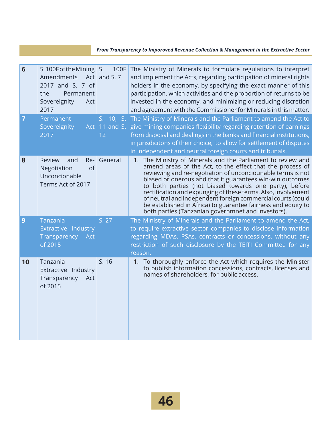#### *From Transparency to Imporoved Revenue Collection & Management in the Extractive Sector*

| $6\phantom{1}6$ | S. 100F of the Mining $\vert$ S.<br>Amendments<br>2017 and S. 7 of<br>the<br>Permanent<br>Sovereignity<br>Act<br>2017 | 100F<br>Act and S. $7$ | The Ministry of Minerals to formulate regulations to interpret<br>and implement the Acts, regarding participation of mineral rights<br>holders in the economy, by specifying the exact manner of this<br>participation, which activities and the proportion of returns to be<br>invested in the economy, and minimizing or reducing discretion<br>and agreement with the Commissioner for Minerals in this matter.                                                                                                                                                     |
|-----------------|-----------------------------------------------------------------------------------------------------------------------|------------------------|------------------------------------------------------------------------------------------------------------------------------------------------------------------------------------------------------------------------------------------------------------------------------------------------------------------------------------------------------------------------------------------------------------------------------------------------------------------------------------------------------------------------------------------------------------------------|
| $\overline{7}$  | Permanent<br>Sovereignity<br>2017                                                                                     | 12                     | S. 10, S. The Ministry of Minerals and the Parliament to amend the Act to<br>Act 11 and S. give mining companies flexibility regarding retention of earnings<br>from disposal and dealings in the banks and financial institutions,<br>in jurisdicitons of their choice, to allow for settlement of disputes<br>in independent and neutral foreign courts and tribunals.                                                                                                                                                                                               |
| 8               | Review<br>and<br>Re-<br>Negotiation<br>of<br>Unconcionable<br>Terms Act of 2017                                       | General                | 1. The Ministry of Minerals and the Parliament to review and<br>amend areas of the Act, to the effect that the process of<br>reviewing and re-negotiation of unconciounable terms is not<br>biased or onerous and that it guarantees win-win outcomes<br>to both parties (not biased towards one party), before<br>rectification and expunging of these terms. Also, involvement<br>of neutral and independent foreign commercial courts (could<br>be established in Africa) to guarantee fairness and equity to<br>both parties (Tanzanian governmnet and investors). |
| 9               | Tanzania<br>Extractive Industry<br>Transparency<br>Act<br>of 2015                                                     | S. 27                  | The Ministry of Minerals and the Parliament to amend the Act,<br>to require extractive sector companies to disclose information<br>regarding MDAs, PSAs, contracts or concessions, without any<br>restriction of such disclosure by the TEITI Committee for any<br>reason.                                                                                                                                                                                                                                                                                             |
| 10              | Tanzania<br>Extractive Industry<br>Transparency<br>Act<br>of 2015                                                     | S. 16                  | 1. To thoroughly enforce the Act which requires the Minister<br>to publish information concessions, contracts, licenses and<br>names of shareholders, for public access.                                                                                                                                                                                                                                                                                                                                                                                               |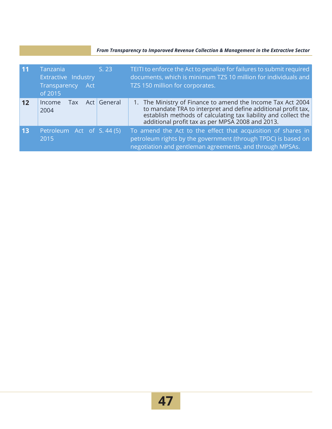#### *From Transparency to Imporoved Revenue Collection & Management in the Extractive Sector*

| $\overline{11}$ | Tanzania<br>Extractive Industry<br>Transparency<br>Act<br>of 2015 | S. 23       | TEITI to enforce the Act to penalize for failures to submit required<br>documents, which is minimum TZS 10 million for individuals and<br>TZS 150 million for corporates.                                                                          |
|-----------------|-------------------------------------------------------------------|-------------|----------------------------------------------------------------------------------------------------------------------------------------------------------------------------------------------------------------------------------------------------|
| 12              | Income<br>Tax<br>2004                                             | Act General | 1. The Ministry of Finance to amend the Income Tax Act 2004<br>to mandate TRA to interpret and define additional profit tax,<br>establish methods of calculating tax liability and collect the<br>additional profit tax as per MPSA 2008 and 2013. |
| 13              | Petroleum Act of S. 44 (5)<br>2015                                |             | To amend the Act to the effect that acquisition of shares in<br>petroleum rights by the government (through TPDC) is based on<br>negotiation and gentleman agreements, and through MPSAs.                                                          |

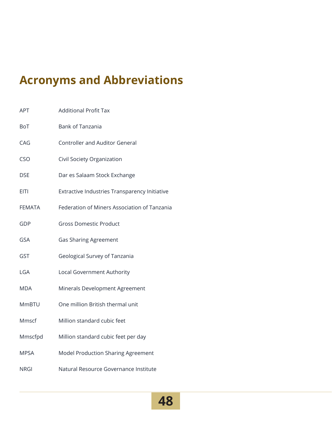## **Acronyms and Abbreviations**

| <b>APT</b>    | <b>Additional Profit Tax</b>                  |
|---------------|-----------------------------------------------|
| <b>BoT</b>    | <b>Bank of Tanzania</b>                       |
| CAG           | <b>Controller and Auditor General</b>         |
| <b>CSO</b>    | Civil Society Organization                    |
| <b>DSE</b>    | Dar es Salaam Stock Exchange                  |
| <b>EITI</b>   | Extractive Industries Transparency Initiative |
| <b>FEMATA</b> | Federation of Miners Association of Tanzania  |
| GDP           | <b>Gross Domestic Product</b>                 |
| GSA           | <b>Gas Sharing Agreement</b>                  |
| <b>GST</b>    | Geological Survey of Tanzania                 |
| LGA           | Local Government Authority                    |
| MDA           | Minerals Development Agreement                |
| <b>MmBTU</b>  | One million British thermal unit              |
| Mmscf         | Million standard cubic feet                   |
| Mmscfpd       | Million standard cubic feet per day           |
| <b>MPSA</b>   | Model Production Sharing Agreement            |
| <b>NRGI</b>   | Natural Resource Governance Institute         |